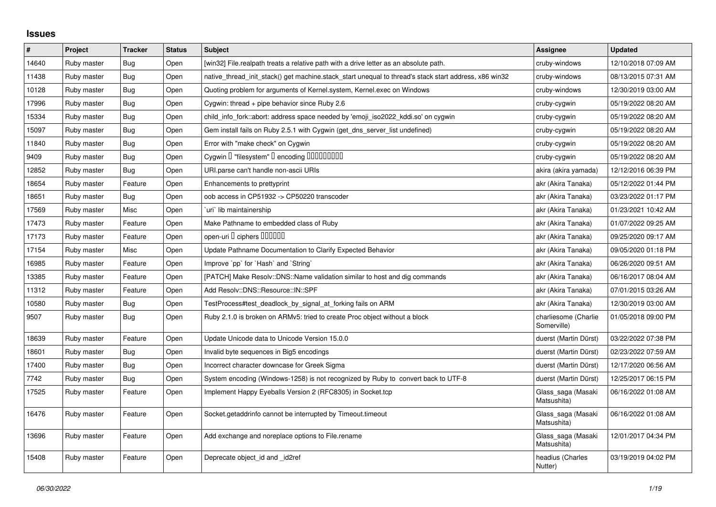## **Issues**

| $\vert$ # | Project     | <b>Tracker</b> | <b>Status</b> | <b>Subject</b>                                                                                        | <b>Assignee</b>                     | <b>Updated</b>      |
|-----------|-------------|----------------|---------------|-------------------------------------------------------------------------------------------------------|-------------------------------------|---------------------|
| 14640     | Ruby master | Bug            | Open          | [win32] File.realpath treats a relative path with a drive letter as an absolute path.                 | cruby-windows                       | 12/10/2018 07:09 AM |
| 11438     | Ruby master | Bug            | Open          | native_thread_init_stack() get machine.stack_start unequal to thread's stack start address, x86 win32 | cruby-windows                       | 08/13/2015 07:31 AM |
| 10128     | Ruby master | <b>Bug</b>     | Open          | Quoting problem for arguments of Kernel.system, Kernel.exec on Windows                                | cruby-windows                       | 12/30/2019 03:00 AM |
| 17996     | Ruby master | Bug            | Open          | Cygwin: thread $+$ pipe behavior since Ruby 2.6                                                       | cruby-cygwin                        | 05/19/2022 08:20 AM |
| 15334     | Ruby master | Bug            | Open          | child info fork::abort: address space needed by 'emoji iso2022 kddi.so' on cygwin                     | cruby-cygwin                        | 05/19/2022 08:20 AM |
| 15097     | Ruby master | Bug            | Open          | Gem install fails on Ruby 2.5.1 with Cygwin (get_dns_server_list undefined)                           | cruby-cygwin                        | 05/19/2022 08:20 AM |
| 11840     | Ruby master | Bug            | Open          | Error with "make check" on Cygwin                                                                     | cruby-cygwin                        | 05/19/2022 08:20 AM |
| 9409      | Ruby master | Bug            | Open          | Cygwin I "filesystem" I encoding IIIIIIIIIIIII                                                        | cruby-cygwin                        | 05/19/2022 08:20 AM |
| 12852     | Ruby master | Bug            | Open          | URI.parse can't handle non-ascii URIs                                                                 | akira (akira yamada)                | 12/12/2016 06:39 PM |
| 18654     | Ruby master | Feature        | Open          | Enhancements to prettyprint                                                                           | akr (Akira Tanaka)                  | 05/12/2022 01:44 PM |
| 18651     | Ruby master | Bug            | Open          | oob access in CP51932 -> CP50220 transcoder                                                           | akr (Akira Tanaka)                  | 03/23/2022 01:17 PM |
| 17569     | Ruby master | Misc           | Open          | uri lib maintainership                                                                                | akr (Akira Tanaka)                  | 01/23/2021 10:42 AM |
| 17473     | Ruby master | Feature        | Open          | Make Pathname to embedded class of Ruby                                                               | akr (Akira Tanaka)                  | 01/07/2022 09:25 AM |
| 17173     | Ruby master | Feature        | Open          | open-uri I ciphers IIIIIII                                                                            | akr (Akira Tanaka)                  | 09/25/2020 09:17 AM |
| 17154     | Ruby master | Misc           | Open          | Update Pathname Documentation to Clarify Expected Behavior                                            | akr (Akira Tanaka)                  | 09/05/2020 01:18 PM |
| 16985     | Ruby master | Feature        | Open          | Improve `pp` for `Hash` and `String`                                                                  | akr (Akira Tanaka)                  | 06/26/2020 09:51 AM |
| 13385     | Ruby master | Feature        | Open          | [PATCH] Make Resolv::DNS::Name validation similar to host and dig commands                            | akr (Akira Tanaka)                  | 06/16/2017 08:04 AM |
| 11312     | Ruby master | Feature        | Open          | Add Resolv::DNS::Resource::IN::SPF                                                                    | akr (Akira Tanaka)                  | 07/01/2015 03:26 AM |
| 10580     | Ruby master | Bug            | Open          | TestProcess#test deadlock by signal at forking fails on ARM                                           | akr (Akira Tanaka)                  | 12/30/2019 03:00 AM |
| 9507      | Ruby master | Bug            | Open          | Ruby 2.1.0 is broken on ARMv5: tried to create Proc object without a block                            | charliesome (Charlie<br>Somerville) | 01/05/2018 09:00 PM |
| 18639     | Ruby master | Feature        | Open          | Update Unicode data to Unicode Version 15.0.0                                                         | duerst (Martin Dürst)               | 03/22/2022 07:38 PM |
| 18601     | Ruby master | Bug            | Open          | Invalid byte sequences in Big5 encodings                                                              | duerst (Martin Dürst)               | 02/23/2022 07:59 AM |
| 17400     | Ruby master | <b>Bug</b>     | Open          | Incorrect character downcase for Greek Sigma                                                          | duerst (Martin Dürst)               | 12/17/2020 06:56 AM |
| 7742      | Ruby master | Bug            | Open          | System encoding (Windows-1258) is not recognized by Ruby to convert back to UTF-8                     | duerst (Martin Dürst)               | 12/25/2017 06:15 PM |
| 17525     | Ruby master | Feature        | Open          | Implement Happy Eyeballs Version 2 (RFC8305) in Socket.tcp                                            | Glass_saga (Masaki<br>Matsushita)   | 06/16/2022 01:08 AM |
| 16476     | Ruby master | Feature        | Open          | Socket.getaddrinfo cannot be interrupted by Timeout.timeout                                           | Glass_saga (Masaki<br>Matsushita)   | 06/16/2022 01:08 AM |
| 13696     | Ruby master | Feature        | Open          | Add exchange and noreplace options to File.rename                                                     | Glass_saga (Masaki<br>Matsushita)   | 12/01/2017 04:34 PM |
| 15408     | Ruby master | Feature        | Open          | Deprecate object_id and _id2ref                                                                       | headius (Charles<br>Nutter)         | 03/19/2019 04:02 PM |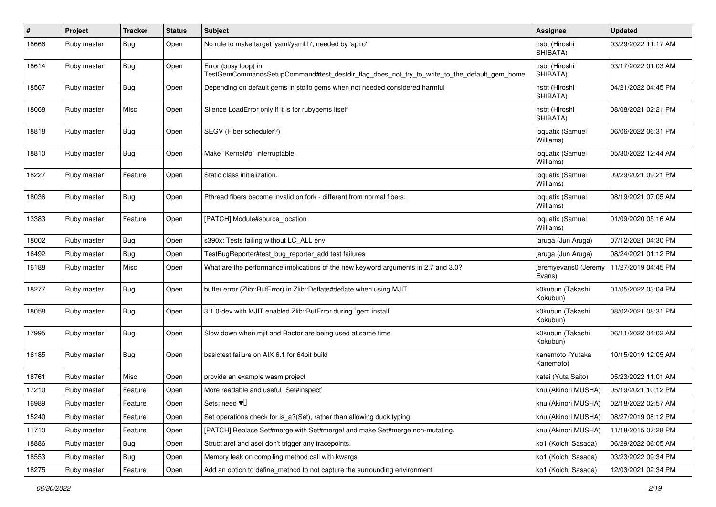| #     | Project     | <b>Tracker</b> | <b>Status</b> | Subject                                                                                                             | <b>Assignee</b>                | <b>Updated</b>      |
|-------|-------------|----------------|---------------|---------------------------------------------------------------------------------------------------------------------|--------------------------------|---------------------|
| 18666 | Ruby master | Bug            | Open          | No rule to make target 'yaml/yaml.h', needed by 'api.o'                                                             | hsbt (Hiroshi<br>SHIBATA)      | 03/29/2022 11:17 AM |
| 18614 | Ruby master | Bug            | Open          | Error (busy loop) in<br>TestGemCommandsSetupCommand#test_destdir_flag_does_not_try_to_write_to_the_default_gem_home | hsbt (Hiroshi<br>SHIBATA)      | 03/17/2022 01:03 AM |
| 18567 | Ruby master | Bug            | Open          | Depending on default gems in stdlib gems when not needed considered harmful                                         | hsbt (Hiroshi<br>SHIBATA)      | 04/21/2022 04:45 PM |
| 18068 | Ruby master | Misc           | Open          | Silence LoadError only if it is for rubygems itself                                                                 | hsbt (Hiroshi<br>SHIBATA)      | 08/08/2021 02:21 PM |
| 18818 | Ruby master | Bug            | Open          | SEGV (Fiber scheduler?)                                                                                             | ioquatix (Samuel<br>Williams)  | 06/06/2022 06:31 PM |
| 18810 | Ruby master | Bug            | Open          | Make `Kernel#p` interruptable.                                                                                      | ioquatix (Samuel<br>Williams)  | 05/30/2022 12:44 AM |
| 18227 | Ruby master | Feature        | Open          | Static class initialization.                                                                                        | ioquatix (Samuel<br>Williams)  | 09/29/2021 09:21 PM |
| 18036 | Ruby master | <b>Bug</b>     | Open          | Pthread fibers become invalid on fork - different from normal fibers.                                               | ioquatix (Samuel<br>Williams)  | 08/19/2021 07:05 AM |
| 13383 | Ruby master | Feature        | Open          | [PATCH] Module#source_location                                                                                      | ioquatix (Samuel<br>Williams)  | 01/09/2020 05:16 AM |
| 18002 | Ruby master | Bug            | Open          | s390x: Tests failing without LC_ALL env                                                                             | jaruga (Jun Aruga)             | 07/12/2021 04:30 PM |
| 16492 | Ruby master | Bug            | Open          | TestBugReporter#test_bug_reporter_add test failures                                                                 | jaruga (Jun Aruga)             | 08/24/2021 01:12 PM |
| 16188 | Ruby master | Misc           | Open          | What are the performance implications of the new keyword arguments in 2.7 and 3.0?                                  | jeremyevans0 (Jeremy<br>Evans) | 11/27/2019 04:45 PM |
| 18277 | Ruby master | Bug            | Open          | buffer error (Zlib::BufError) in Zlib::Deflate#deflate when using MJIT                                              | k0kubun (Takashi<br>Kokubun)   | 01/05/2022 03:04 PM |
| 18058 | Ruby master | Bug            | Open          | 3.1.0-dev with MJIT enabled Zlib::BufError during `gem install`                                                     | k0kubun (Takashi<br>Kokubun)   | 08/02/2021 08:31 PM |
| 17995 | Ruby master | Bug            | Open          | Slow down when mjit and Ractor are being used at same time                                                          | k0kubun (Takashi<br>Kokubun)   | 06/11/2022 04:02 AM |
| 16185 | Ruby master | Bug            | Open          | basictest failure on AIX 6.1 for 64bit build                                                                        | kanemoto (Yutaka<br>Kanemoto)  | 10/15/2019 12:05 AM |
| 18761 | Ruby master | Misc           | Open          | provide an example wasm project                                                                                     | katei (Yuta Saito)             | 05/23/2022 11:01 AM |
| 17210 | Ruby master | Feature        | Open          | More readable and useful `Set#inspect`                                                                              | knu (Akinori MUSHA)            | 05/19/2021 10:12 PM |
| 16989 | Ruby master | Feature        | Open          | Sets: need $\Psi$                                                                                                   | knu (Akinori MUSHA)            | 02/18/2022 02:57 AM |
| 15240 | Ruby master | Feature        | Open          | Set operations check for is_a?(Set), rather than allowing duck typing                                               | knu (Akinori MUSHA)            | 08/27/2019 08:12 PM |
| 11710 | Ruby master | Feature        | Open          | [PATCH] Replace Set#merge with Set#merge! and make Set#merge non-mutating.                                          | knu (Akinori MUSHA)            | 11/18/2015 07:28 PM |
| 18886 | Ruby master | Bug            | Open          | Struct aref and aset don't trigger any tracepoints.                                                                 | ko1 (Koichi Sasada)            | 06/29/2022 06:05 AM |
| 18553 | Ruby master | Bug            | Open          | Memory leak on compiling method call with kwargs                                                                    | ko1 (Koichi Sasada)            | 03/23/2022 09:34 PM |
| 18275 | Ruby master | Feature        | Open          | Add an option to define_method to not capture the surrounding environment                                           | ko1 (Koichi Sasada)            | 12/03/2021 02:34 PM |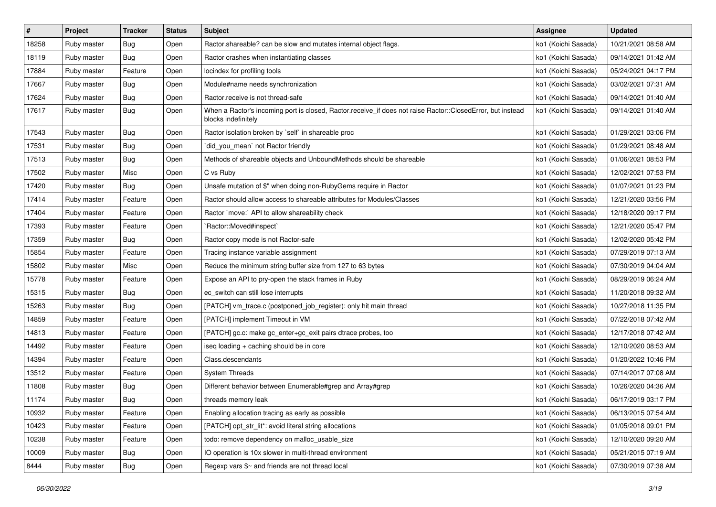| #     | Project     | <b>Tracker</b> | <b>Status</b> | Subject                                                                                                                           | <b>Assignee</b>     | <b>Updated</b>      |
|-------|-------------|----------------|---------------|-----------------------------------------------------------------------------------------------------------------------------------|---------------------|---------------------|
| 18258 | Ruby master | <b>Bug</b>     | Open          | Ractor shareable? can be slow and mutates internal object flags.                                                                  | ko1 (Koichi Sasada) | 10/21/2021 08:58 AM |
| 18119 | Ruby master | Bug            | Open          | Ractor crashes when instantiating classes                                                                                         | ko1 (Koichi Sasada) | 09/14/2021 01:42 AM |
| 17884 | Ruby master | Feature        | Open          | locindex for profiling tools                                                                                                      | ko1 (Koichi Sasada) | 05/24/2021 04:17 PM |
| 17667 | Ruby master | Bug            | Open          | Module#name needs synchronization                                                                                                 | ko1 (Koichi Sasada) | 03/02/2021 07:31 AM |
| 17624 | Ruby master | Bug            | Open          | Ractor.receive is not thread-safe                                                                                                 | ko1 (Koichi Sasada) | 09/14/2021 01:40 AM |
| 17617 | Ruby master | <b>Bug</b>     | Open          | When a Ractor's incoming port is closed, Ractor.receive_if does not raise Ractor::ClosedError, but instead<br>blocks indefinitely | ko1 (Koichi Sasada) | 09/14/2021 01:40 AM |
| 17543 | Ruby master | Bug            | Open          | Ractor isolation broken by `self` in shareable proc                                                                               | ko1 (Koichi Sasada) | 01/29/2021 03:06 PM |
| 17531 | Ruby master | Bug            | Open          | `did_you_mean` not Ractor friendly                                                                                                | ko1 (Koichi Sasada) | 01/29/2021 08:48 AM |
| 17513 | Ruby master | Bug            | Open          | Methods of shareable objects and UnboundMethods should be shareable                                                               | ko1 (Koichi Sasada) | 01/06/2021 08:53 PM |
| 17502 | Ruby master | Misc           | Open          | C vs Ruby                                                                                                                         | ko1 (Koichi Sasada) | 12/02/2021 07:53 PM |
| 17420 | Ruby master | Bug            | Open          | Unsafe mutation of \$" when doing non-RubyGems require in Ractor                                                                  | ko1 (Koichi Sasada) | 01/07/2021 01:23 PM |
| 17414 | Ruby master | Feature        | Open          | Ractor should allow access to shareable attributes for Modules/Classes                                                            | ko1 (Koichi Sasada) | 12/21/2020 03:56 PM |
| 17404 | Ruby master | Feature        | Open          | Ractor `move:` API to allow shareability check                                                                                    | ko1 (Koichi Sasada) | 12/18/2020 09:17 PM |
| 17393 | Ruby master | Feature        | Open          | `Ractor::Moved#inspect`                                                                                                           | ko1 (Koichi Sasada) | 12/21/2020 05:47 PM |
| 17359 | Ruby master | Bug            | Open          | Ractor copy mode is not Ractor-safe                                                                                               | ko1 (Koichi Sasada) | 12/02/2020 05:42 PM |
| 15854 | Ruby master | Feature        | Open          | Tracing instance variable assignment                                                                                              | ko1 (Koichi Sasada) | 07/29/2019 07:13 AM |
| 15802 | Ruby master | Misc           | Open          | Reduce the minimum string buffer size from 127 to 63 bytes                                                                        | ko1 (Koichi Sasada) | 07/30/2019 04:04 AM |
| 15778 | Ruby master | Feature        | Open          | Expose an API to pry-open the stack frames in Ruby                                                                                | ko1 (Koichi Sasada) | 08/29/2019 06:24 AM |
| 15315 | Ruby master | Bug            | Open          | ec_switch can still lose interrupts                                                                                               | ko1 (Koichi Sasada) | 11/20/2018 09:32 AM |
| 15263 | Ruby master | Bug            | Open          | [PATCH] vm_trace.c (postponed_job_register): only hit main thread                                                                 | ko1 (Koichi Sasada) | 10/27/2018 11:35 PM |
| 14859 | Ruby master | Feature        | Open          | [PATCH] implement Timeout in VM                                                                                                   | ko1 (Koichi Sasada) | 07/22/2018 07:42 AM |
| 14813 | Ruby master | Feature        | Open          | [PATCH] gc.c: make gc_enter+gc_exit pairs dtrace probes, too                                                                      | ko1 (Koichi Sasada) | 12/17/2018 07:42 AM |
| 14492 | Ruby master | Feature        | Open          | iseq loading + caching should be in core                                                                                          | ko1 (Koichi Sasada) | 12/10/2020 08:53 AM |
| 14394 | Ruby master | Feature        | Open          | Class.descendants                                                                                                                 | ko1 (Koichi Sasada) | 01/20/2022 10:46 PM |
| 13512 | Ruby master | Feature        | Open          | <b>System Threads</b>                                                                                                             | ko1 (Koichi Sasada) | 07/14/2017 07:08 AM |
| 11808 | Ruby master | Bug            | Open          | Different behavior between Enumerable#grep and Array#grep                                                                         | ko1 (Koichi Sasada) | 10/26/2020 04:36 AM |
| 11174 | Ruby master | Bug            | Open          | threads memory leak                                                                                                               | ko1 (Koichi Sasada) | 06/17/2019 03:17 PM |
| 10932 | Ruby master | Feature        | Open          | Enabling allocation tracing as early as possible                                                                                  | ko1 (Koichi Sasada) | 06/13/2015 07:54 AM |
| 10423 | Ruby master | Feature        | Open          | [PATCH] opt_str_lit*: avoid literal string allocations                                                                            | ko1 (Koichi Sasada) | 01/05/2018 09:01 PM |
| 10238 | Ruby master | Feature        | Open          | todo: remove dependency on malloc_usable_size                                                                                     | ko1 (Koichi Sasada) | 12/10/2020 09:20 AM |
| 10009 | Ruby master | Bug            | Open          | IO operation is 10x slower in multi-thread environment                                                                            | ko1 (Koichi Sasada) | 05/21/2015 07:19 AM |
| 8444  | Ruby master | Bug            | Open          | Regexp vars \$~ and friends are not thread local                                                                                  | ko1 (Koichi Sasada) | 07/30/2019 07:38 AM |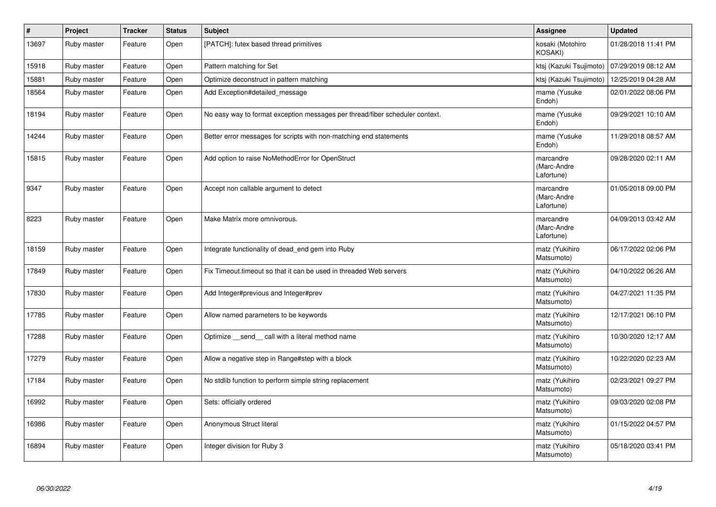| $\sharp$ | <b>Project</b> | <b>Tracker</b> | <b>Status</b> | <b>Subject</b>                                                               | Assignee                               | <b>Updated</b>      |
|----------|----------------|----------------|---------------|------------------------------------------------------------------------------|----------------------------------------|---------------------|
| 13697    | Ruby master    | Feature        | Open          | [PATCH]: futex based thread primitives                                       | kosaki (Motohiro<br>KOSAKI)            | 01/28/2018 11:41 PM |
| 15918    | Ruby master    | Feature        | Open          | Pattern matching for Set                                                     | ktsj (Kazuki Tsujimoto)                | 07/29/2019 08:12 AM |
| 15881    | Ruby master    | Feature        | Open          | Optimize deconstruct in pattern matching                                     | ktsj (Kazuki Tsujimoto)                | 12/25/2019 04:28 AM |
| 18564    | Ruby master    | Feature        | Open          | Add Exception#detailed_message                                               | mame (Yusuke<br>Endoh)                 | 02/01/2022 08:06 PM |
| 18194    | Ruby master    | Feature        | Open          | No easy way to format exception messages per thread/fiber scheduler context. | mame (Yusuke<br>Endoh)                 | 09/29/2021 10:10 AM |
| 14244    | Ruby master    | Feature        | Open          | Better error messages for scripts with non-matching end statements           | mame (Yusuke<br>Endoh)                 | 11/29/2018 08:57 AM |
| 15815    | Ruby master    | Feature        | Open          | Add option to raise NoMethodError for OpenStruct                             | marcandre<br>(Marc-Andre<br>Lafortune) | 09/28/2020 02:11 AM |
| 9347     | Ruby master    | Feature        | Open          | Accept non callable argument to detect                                       | marcandre<br>(Marc-Andre<br>Lafortune) | 01/05/2018 09:00 PM |
| 8223     | Ruby master    | Feature        | Open          | Make Matrix more omnivorous.                                                 | marcandre<br>(Marc-Andre<br>Lafortune) | 04/09/2013 03:42 AM |
| 18159    | Ruby master    | Feature        | Open          | Integrate functionality of dead_end gem into Ruby                            | matz (Yukihiro<br>Matsumoto)           | 06/17/2022 02:06 PM |
| 17849    | Ruby master    | Feature        | Open          | Fix Timeout timeout so that it can be used in threaded Web servers           | matz (Yukihiro<br>Matsumoto)           | 04/10/2022 06:26 AM |
| 17830    | Ruby master    | Feature        | Open          | Add Integer#previous and Integer#prev                                        | matz (Yukihiro<br>Matsumoto)           | 04/27/2021 11:35 PM |
| 17785    | Ruby master    | Feature        | Open          | Allow named parameters to be keywords                                        | matz (Yukihiro<br>Matsumoto)           | 12/17/2021 06:10 PM |
| 17288    | Ruby master    | Feature        | Open          | Optimize _send_ call with a literal method name                              | matz (Yukihiro<br>Matsumoto)           | 10/30/2020 12:17 AM |
| 17279    | Ruby master    | Feature        | Open          | Allow a negative step in Range#step with a block                             | matz (Yukihiro<br>Matsumoto)           | 10/22/2020 02:23 AM |
| 17184    | Ruby master    | Feature        | Open          | No stdlib function to perform simple string replacement                      | matz (Yukihiro<br>Matsumoto)           | 02/23/2021 09:27 PM |
| 16992    | Ruby master    | Feature        | Open          | Sets: officially ordered                                                     | matz (Yukihiro<br>Matsumoto)           | 09/03/2020 02:08 PM |
| 16986    | Ruby master    | Feature        | Open          | Anonymous Struct literal                                                     | matz (Yukihiro<br>Matsumoto)           | 01/15/2022 04:57 PM |
| 16894    | Ruby master    | Feature        | Open          | Integer division for Ruby 3                                                  | matz (Yukihiro<br>Matsumoto)           | 05/18/2020 03:41 PM |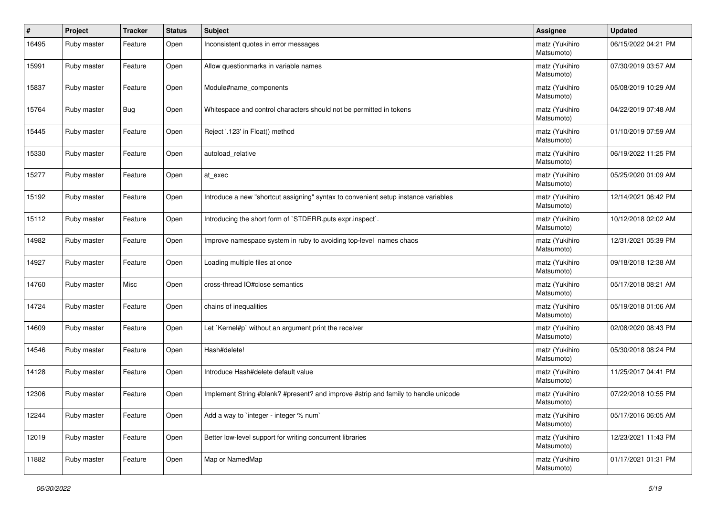| $\#$  | Project     | <b>Tracker</b> | <b>Status</b> | <b>Subject</b>                                                                     | <b>Assignee</b>              | <b>Updated</b>      |
|-------|-------------|----------------|---------------|------------------------------------------------------------------------------------|------------------------------|---------------------|
| 16495 | Ruby master | Feature        | Open          | Inconsistent quotes in error messages                                              | matz (Yukihiro<br>Matsumoto) | 06/15/2022 04:21 PM |
| 15991 | Ruby master | Feature        | Open          | Allow questionmarks in variable names                                              | matz (Yukihiro<br>Matsumoto) | 07/30/2019 03:57 AM |
| 15837 | Ruby master | Feature        | Open          | Module#name_components                                                             | matz (Yukihiro<br>Matsumoto) | 05/08/2019 10:29 AM |
| 15764 | Ruby master | <b>Bug</b>     | Open          | Whitespace and control characters should not be permitted in tokens                | matz (Yukihiro<br>Matsumoto) | 04/22/2019 07:48 AM |
| 15445 | Ruby master | Feature        | Open          | Reject '.123' in Float() method                                                    | matz (Yukihiro<br>Matsumoto) | 01/10/2019 07:59 AM |
| 15330 | Ruby master | Feature        | Open          | autoload_relative                                                                  | matz (Yukihiro<br>Matsumoto) | 06/19/2022 11:25 PM |
| 15277 | Ruby master | Feature        | Open          | at_exec                                                                            | matz (Yukihiro<br>Matsumoto) | 05/25/2020 01:09 AM |
| 15192 | Ruby master | Feature        | Open          | Introduce a new "shortcut assigning" syntax to convenient setup instance variables | matz (Yukihiro<br>Matsumoto) | 12/14/2021 06:42 PM |
| 15112 | Ruby master | Feature        | Open          | Introducing the short form of `STDERR.puts expr.inspect`.                          | matz (Yukihiro<br>Matsumoto) | 10/12/2018 02:02 AM |
| 14982 | Ruby master | Feature        | Open          | Improve namespace system in ruby to avoiding top-level names chaos                 | matz (Yukihiro<br>Matsumoto) | 12/31/2021 05:39 PM |
| 14927 | Ruby master | Feature        | Open          | Loading multiple files at once                                                     | matz (Yukihiro<br>Matsumoto) | 09/18/2018 12:38 AM |
| 14760 | Ruby master | Misc           | Open          | cross-thread IO#close semantics                                                    | matz (Yukihiro<br>Matsumoto) | 05/17/2018 08:21 AM |
| 14724 | Ruby master | Feature        | Open          | chains of inequalities                                                             | matz (Yukihiro<br>Matsumoto) | 05/19/2018 01:06 AM |
| 14609 | Ruby master | Feature        | Open          | Let `Kernel#p` without an argument print the receiver                              | matz (Yukihiro<br>Matsumoto) | 02/08/2020 08:43 PM |
| 14546 | Ruby master | Feature        | Open          | Hash#delete!                                                                       | matz (Yukihiro<br>Matsumoto) | 05/30/2018 08:24 PM |
| 14128 | Ruby master | Feature        | Open          | Introduce Hash#delete default value                                                | matz (Yukihiro<br>Matsumoto) | 11/25/2017 04:41 PM |
| 12306 | Ruby master | Feature        | Open          | Implement String #blank? #present? and improve #strip and family to handle unicode | matz (Yukihiro<br>Matsumoto) | 07/22/2018 10:55 PM |
| 12244 | Ruby master | Feature        | Open          | Add a way to `integer - integer % num`                                             | matz (Yukihiro<br>Matsumoto) | 05/17/2016 06:05 AM |
| 12019 | Ruby master | Feature        | Open          | Better low-level support for writing concurrent libraries                          | matz (Yukihiro<br>Matsumoto) | 12/23/2021 11:43 PM |
| 11882 | Ruby master | Feature        | Open          | Map or NamedMap                                                                    | matz (Yukihiro<br>Matsumoto) | 01/17/2021 01:31 PM |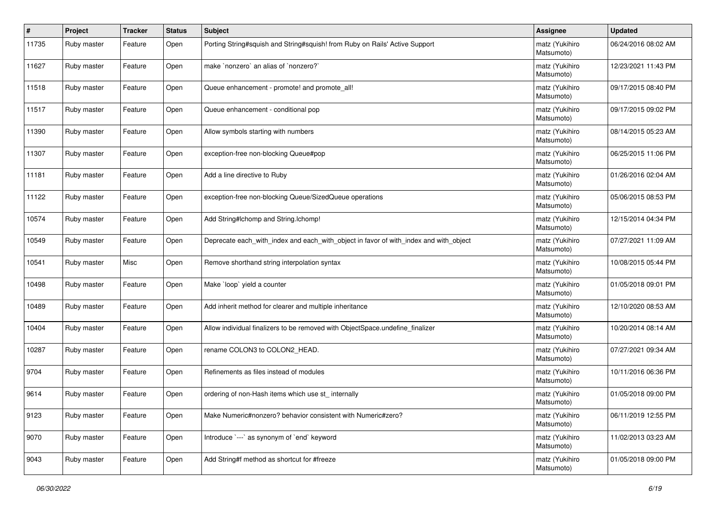| ∦     | Project     | <b>Tracker</b> | <b>Status</b> | Subject                                                                               | <b>Assignee</b>              | <b>Updated</b>      |
|-------|-------------|----------------|---------------|---------------------------------------------------------------------------------------|------------------------------|---------------------|
| 11735 | Ruby master | Feature        | Open          | Porting String#squish and String#squish! from Ruby on Rails' Active Support           | matz (Yukihiro<br>Matsumoto) | 06/24/2016 08:02 AM |
| 11627 | Ruby master | Feature        | Open          | make `nonzero` an alias of `nonzero?`                                                 | matz (Yukihiro<br>Matsumoto) | 12/23/2021 11:43 PM |
| 11518 | Ruby master | Feature        | Open          | Queue enhancement - promote! and promote_all!                                         | matz (Yukihiro<br>Matsumoto) | 09/17/2015 08:40 PM |
| 11517 | Ruby master | Feature        | Open          | Queue enhancement - conditional pop                                                   | matz (Yukihiro<br>Matsumoto) | 09/17/2015 09:02 PM |
| 11390 | Ruby master | Feature        | Open          | Allow symbols starting with numbers                                                   | matz (Yukihiro<br>Matsumoto) | 08/14/2015 05:23 AM |
| 11307 | Ruby master | Feature        | Open          | exception-free non-blocking Queue#pop                                                 | matz (Yukihiro<br>Matsumoto) | 06/25/2015 11:06 PM |
| 11181 | Ruby master | Feature        | Open          | Add a line directive to Ruby                                                          | matz (Yukihiro<br>Matsumoto) | 01/26/2016 02:04 AM |
| 11122 | Ruby master | Feature        | Open          | exception-free non-blocking Queue/SizedQueue operations                               | matz (Yukihiro<br>Matsumoto) | 05/06/2015 08:53 PM |
| 10574 | Ruby master | Feature        | Open          | Add String#Ichomp and String.Ichomp!                                                  | matz (Yukihiro<br>Matsumoto) | 12/15/2014 04:34 PM |
| 10549 | Ruby master | Feature        | Open          | Deprecate each_with_index and each_with_object in favor of with_index and with_object | matz (Yukihiro<br>Matsumoto) | 07/27/2021 11:09 AM |
| 10541 | Ruby master | Misc           | Open          | Remove shorthand string interpolation syntax                                          | matz (Yukihiro<br>Matsumoto) | 10/08/2015 05:44 PM |
| 10498 | Ruby master | Feature        | Open          | Make 'loop' yield a counter                                                           | matz (Yukihiro<br>Matsumoto) | 01/05/2018 09:01 PM |
| 10489 | Ruby master | Feature        | Open          | Add inherit method for clearer and multiple inheritance                               | matz (Yukihiro<br>Matsumoto) | 12/10/2020 08:53 AM |
| 10404 | Ruby master | Feature        | Open          | Allow individual finalizers to be removed with ObjectSpace.undefine_finalizer         | matz (Yukihiro<br>Matsumoto) | 10/20/2014 08:14 AM |
| 10287 | Ruby master | Feature        | Open          | rename COLON3 to COLON2_HEAD.                                                         | matz (Yukihiro<br>Matsumoto) | 07/27/2021 09:34 AM |
| 9704  | Ruby master | Feature        | Open          | Refinements as files instead of modules                                               | matz (Yukihiro<br>Matsumoto) | 10/11/2016 06:36 PM |
| 9614  | Ruby master | Feature        | Open          | ordering of non-Hash items which use st_ internally                                   | matz (Yukihiro<br>Matsumoto) | 01/05/2018 09:00 PM |
| 9123  | Ruby master | Feature        | Open          | Make Numeric#nonzero? behavior consistent with Numeric#zero?                          | matz (Yukihiro<br>Matsumoto) | 06/11/2019 12:55 PM |
| 9070  | Ruby master | Feature        | Open          | Introduce `---` as synonym of `end` keyword                                           | matz (Yukihiro<br>Matsumoto) | 11/02/2013 03:23 AM |
| 9043  | Ruby master | Feature        | Open          | Add String#f method as shortcut for #freeze                                           | matz (Yukihiro<br>Matsumoto) | 01/05/2018 09:00 PM |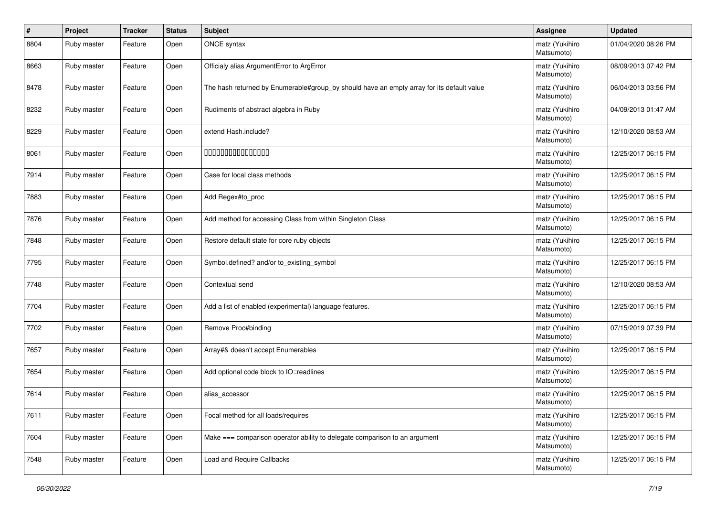| $\vert$ # | Project     | <b>Tracker</b> | <b>Status</b> | Subject                                                                                   | <b>Assignee</b>              | <b>Updated</b>      |
|-----------|-------------|----------------|---------------|-------------------------------------------------------------------------------------------|------------------------------|---------------------|
| 8804      | Ruby master | Feature        | Open          | ONCE syntax                                                                               | matz (Yukihiro<br>Matsumoto) | 01/04/2020 08:26 PM |
| 8663      | Ruby master | Feature        | Open          | Officialy alias ArgumentError to ArgError                                                 | matz (Yukihiro<br>Matsumoto) | 08/09/2013 07:42 PM |
| 8478      | Ruby master | Feature        | Open          | The hash returned by Enumerable#group_by should have an empty array for its default value | matz (Yukihiro<br>Matsumoto) | 06/04/2013 03:56 PM |
| 8232      | Ruby master | Feature        | Open          | Rudiments of abstract algebra in Ruby                                                     | matz (Yukihiro<br>Matsumoto) | 04/09/2013 01:47 AM |
| 8229      | Ruby master | Feature        | Open          | extend Hash.include?                                                                      | matz (Yukihiro<br>Matsumoto) | 12/10/2020 08:53 AM |
| 8061      | Ruby master | Feature        | Open          | 000000000000000                                                                           | matz (Yukihiro<br>Matsumoto) | 12/25/2017 06:15 PM |
| 7914      | Ruby master | Feature        | Open          | Case for local class methods                                                              | matz (Yukihiro<br>Matsumoto) | 12/25/2017 06:15 PM |
| 7883      | Ruby master | Feature        | Open          | Add Regex#to_proc                                                                         | matz (Yukihiro<br>Matsumoto) | 12/25/2017 06:15 PM |
| 7876      | Ruby master | Feature        | Open          | Add method for accessing Class from within Singleton Class                                | matz (Yukihiro<br>Matsumoto) | 12/25/2017 06:15 PM |
| 7848      | Ruby master | Feature        | Open          | Restore default state for core ruby objects                                               | matz (Yukihiro<br>Matsumoto) | 12/25/2017 06:15 PM |
| 7795      | Ruby master | Feature        | Open          | Symbol.defined? and/or to_existing_symbol                                                 | matz (Yukihiro<br>Matsumoto) | 12/25/2017 06:15 PM |
| 7748      | Ruby master | Feature        | Open          | Contextual send                                                                           | matz (Yukihiro<br>Matsumoto) | 12/10/2020 08:53 AM |
| 7704      | Ruby master | Feature        | Open          | Add a list of enabled (experimental) language features.                                   | matz (Yukihiro<br>Matsumoto) | 12/25/2017 06:15 PM |
| 7702      | Ruby master | Feature        | Open          | Remove Proc#binding                                                                       | matz (Yukihiro<br>Matsumoto) | 07/15/2019 07:39 PM |
| 7657      | Ruby master | Feature        | Open          | Array#& doesn't accept Enumerables                                                        | matz (Yukihiro<br>Matsumoto) | 12/25/2017 06:15 PM |
| 7654      | Ruby master | Feature        | Open          | Add optional code block to IO::readlines                                                  | matz (Yukihiro<br>Matsumoto) | 12/25/2017 06:15 PM |
| 7614      | Ruby master | Feature        | Open          | alias_accessor                                                                            | matz (Yukihiro<br>Matsumoto) | 12/25/2017 06:15 PM |
| 7611      | Ruby master | Feature        | Open          | Focal method for all loads/requires                                                       | matz (Yukihiro<br>Matsumoto) | 12/25/2017 06:15 PM |
| 7604      | Ruby master | Feature        | Open          | Make === comparison operator ability to delegate comparison to an argument                | matz (Yukihiro<br>Matsumoto) | 12/25/2017 06:15 PM |
| 7548      | Ruby master | Feature        | Open          | Load and Require Callbacks                                                                | matz (Yukihiro<br>Matsumoto) | 12/25/2017 06:15 PM |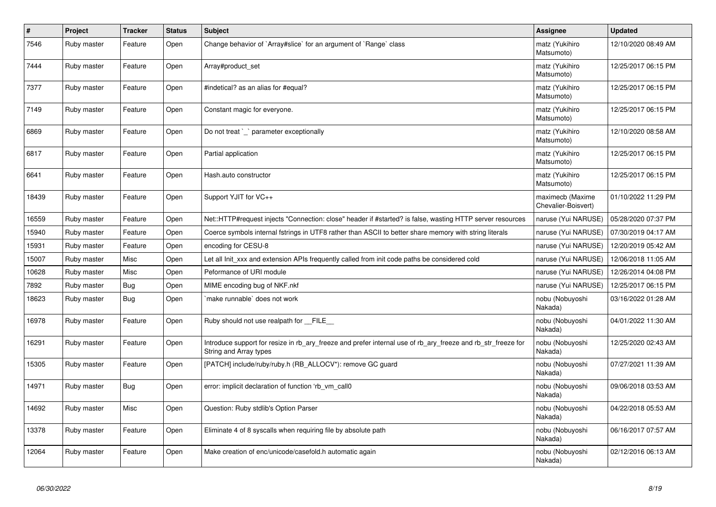| $\vert$ # | Project     | <b>Tracker</b> | <b>Status</b> | <b>Subject</b>                                                                                                                         | Assignee                                | <b>Updated</b>      |
|-----------|-------------|----------------|---------------|----------------------------------------------------------------------------------------------------------------------------------------|-----------------------------------------|---------------------|
| 7546      | Ruby master | Feature        | Open          | Change behavior of `Array#slice` for an argument of `Range` class                                                                      | matz (Yukihiro<br>Matsumoto)            | 12/10/2020 08:49 AM |
| 7444      | Ruby master | Feature        | Open          | Array#product set                                                                                                                      | matz (Yukihiro<br>Matsumoto)            | 12/25/2017 06:15 PM |
| 7377      | Ruby master | Feature        | Open          | #indetical? as an alias for #equal?                                                                                                    | matz (Yukihiro<br>Matsumoto)            | 12/25/2017 06:15 PM |
| 7149      | Ruby master | Feature        | Open          | Constant magic for everyone.                                                                                                           | matz (Yukihiro<br>Matsumoto)            | 12/25/2017 06:15 PM |
| 6869      | Ruby master | Feature        | Open          | Do not treat `_` parameter exceptionally                                                                                               | matz (Yukihiro<br>Matsumoto)            | 12/10/2020 08:58 AM |
| 6817      | Ruby master | Feature        | Open          | Partial application                                                                                                                    | matz (Yukihiro<br>Matsumoto)            | 12/25/2017 06:15 PM |
| 6641      | Ruby master | Feature        | Open          | Hash.auto constructor                                                                                                                  | matz (Yukihiro<br>Matsumoto)            | 12/25/2017 06:15 PM |
| 18439     | Ruby master | Feature        | Open          | Support YJIT for VC++                                                                                                                  | maximecb (Maxime<br>Chevalier-Boisvert) | 01/10/2022 11:29 PM |
| 16559     | Ruby master | Feature        | Open          | Net::HTTP#request injects "Connection: close" header if #started? is false, wasting HTTP server resources                              | naruse (Yui NARUSE)                     | 05/28/2020 07:37 PM |
| 15940     | Ruby master | Feature        | Open          | Coerce symbols internal fstrings in UTF8 rather than ASCII to better share memory with string literals                                 | naruse (Yui NARUSE)                     | 07/30/2019 04:17 AM |
| 15931     | Ruby master | Feature        | Open          | encoding for CESU-8                                                                                                                    | naruse (Yui NARUSE)                     | 12/20/2019 05:42 AM |
| 15007     | Ruby master | Misc           | Open          | Let all Init_xxx and extension APIs frequently called from init code paths be considered cold                                          | naruse (Yui NARUSE)                     | 12/06/2018 11:05 AM |
| 10628     | Ruby master | Misc           | Open          | Peformance of URI module                                                                                                               | naruse (Yui NARUSE)                     | 12/26/2014 04:08 PM |
| 7892      | Ruby master | <b>Bug</b>     | Open          | MIME encoding bug of NKF.nkf                                                                                                           | naruse (Yui NARUSE)                     | 12/25/2017 06:15 PM |
| 18623     | Ruby master | Bug            | Open          | make runnable` does not work                                                                                                           | nobu (Nobuyoshi<br>Nakada)              | 03/16/2022 01:28 AM |
| 16978     | Ruby master | Feature        | Open          | Ruby should not use realpath for __FILE__                                                                                              | nobu (Nobuyoshi<br>Nakada)              | 04/01/2022 11:30 AM |
| 16291     | Ruby master | Feature        | Open          | Introduce support for resize in rb_ary_freeze and prefer internal use of rb_ary_freeze and rb_str_freeze for<br>String and Array types | nobu (Nobuyoshi<br>Nakada)              | 12/25/2020 02:43 AM |
| 15305     | Ruby master | Feature        | Open          | [PATCH] include/ruby/ruby.h (RB ALLOCV*): remove GC guard                                                                              | nobu (Nobuyoshi<br>Nakada)              | 07/27/2021 11:39 AM |
| 14971     | Ruby master | Bug            | Open          | error: implicit declaration of function 'rb_vm_call0                                                                                   | nobu (Nobuyoshi<br>Nakada)              | 09/06/2018 03:53 AM |
| 14692     | Ruby master | Misc           | Open          | Question: Ruby stdlib's Option Parser                                                                                                  | nobu (Nobuyoshi<br>Nakada)              | 04/22/2018 05:53 AM |
| 13378     | Ruby master | Feature        | Open          | Eliminate 4 of 8 syscalls when requiring file by absolute path                                                                         | nobu (Nobuyoshi<br>Nakada)              | 06/16/2017 07:57 AM |
| 12064     | Ruby master | Feature        | Open          | Make creation of enc/unicode/casefold.h automatic again                                                                                | nobu (Nobuyoshi<br>Nakada)              | 02/12/2016 06:13 AM |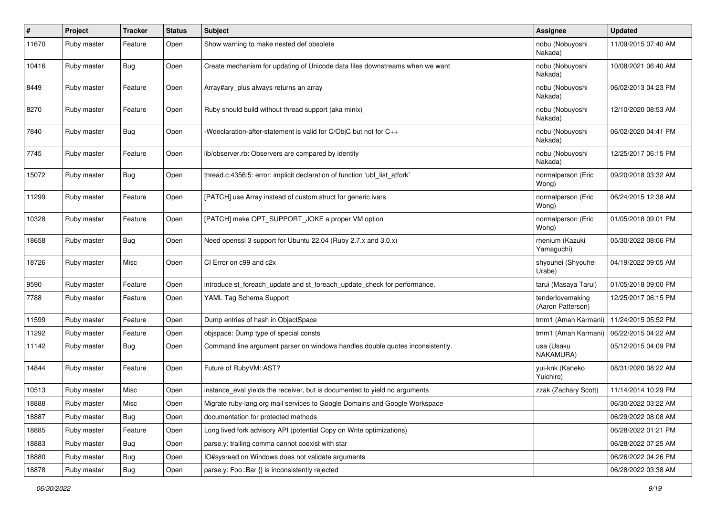| $\pmb{\#}$ | Project     | Tracker    | <b>Status</b> | Subject                                                                       | <b>Assignee</b>                       | <b>Updated</b>      |
|------------|-------------|------------|---------------|-------------------------------------------------------------------------------|---------------------------------------|---------------------|
| 11670      | Ruby master | Feature    | Open          | Show warning to make nested def obsolete                                      | nobu (Nobuyoshi<br>Nakada)            | 11/09/2015 07:40 AM |
| 10416      | Ruby master | <b>Bug</b> | Open          | Create mechanism for updating of Unicode data files downstreams when we want  | nobu (Nobuyoshi<br>Nakada)            | 10/08/2021 06:40 AM |
| 8449       | Ruby master | Feature    | Open          | Array#ary_plus always returns an array                                        | nobu (Nobuyoshi<br>Nakada)            | 06/02/2013 04:23 PM |
| 8270       | Ruby master | Feature    | Open          | Ruby should build without thread support (aka minix)                          | nobu (Nobuyoshi<br>Nakada)            | 12/10/2020 08:53 AM |
| 7840       | Ruby master | Bug        | Open          | -Wdeclaration-after-statement is valid for C/ObjC but not for C++             | nobu (Nobuyoshi<br>Nakada)            | 06/02/2020 04:41 PM |
| 7745       | Ruby master | Feature    | Open          | lib/observer.rb: Observers are compared by identity                           | nobu (Nobuyoshi<br>Nakada)            | 12/25/2017 06:15 PM |
| 15072      | Ruby master | Bug        | Open          | thread.c:4356:5: error: implicit declaration of function 'ubf_list_atfork'    | normalperson (Eric<br>Wong)           | 09/20/2018 03:32 AM |
| 11299      | Ruby master | Feature    | Open          | [PATCH] use Array instead of custom struct for generic ivars                  | normalperson (Eric<br>Wong)           | 06/24/2015 12:38 AM |
| 10328      | Ruby master | Feature    | Open          | [PATCH] make OPT_SUPPORT_JOKE a proper VM option                              | normalperson (Eric<br>Wong)           | 01/05/2018 09:01 PM |
| 18658      | Ruby master | Bug        | Open          | Need openssl 3 support for Ubuntu 22.04 (Ruby 2.7.x and 3.0.x)                | rhenium (Kazuki<br>Yamaguchi)         | 05/30/2022 08:06 PM |
| 18726      | Ruby master | Misc       | Open          | CI Error on c99 and c2x                                                       | shyouhei (Shyouhei<br>Urabe)          | 04/19/2022 09:05 AM |
| 9590       | Ruby master | Feature    | Open          | introduce st_foreach_update and st_foreach_update_check for performance.      | tarui (Masaya Tarui)                  | 01/05/2018 09:00 PM |
| 7788       | Ruby master | Feature    | Open          | YAML Tag Schema Support                                                       | tenderlovemaking<br>(Aaron Patterson) | 12/25/2017 06:15 PM |
| 11599      | Ruby master | Feature    | Open          | Dump entries of hash in ObjectSpace                                           | tmm1 (Aman Karmani)                   | 11/24/2015 05:52 PM |
| 11292      | Ruby master | Feature    | Open          | objspace: Dump type of special consts                                         | tmm1 (Aman Karmani)                   | 06/22/2015 04:22 AM |
| 11142      | Ruby master | Bug        | Open          | Command line argument parser on windows handles double quotes inconsistently. | usa (Usaku<br>NAKAMURA)               | 05/12/2015 04:09 PM |
| 14844      | Ruby master | Feature    | Open          | Future of RubyVM::AST?                                                        | yui-knk (Kaneko<br>Yuichiro)          | 08/31/2020 08:22 AM |
| 10513      | Ruby master | Misc       | Open          | instance_eval yields the receiver, but is documented to yield no arguments    | zzak (Zachary Scott)                  | 11/14/2014 10:29 PM |
| 18888      | Ruby master | Misc       | Open          | Migrate ruby-lang.org mail services to Google Domains and Google Workspace    |                                       | 06/30/2022 03:22 AM |
| 18887      | Ruby master | <b>Bug</b> | Open          | documentation for protected methods                                           |                                       | 06/29/2022 08:08 AM |
| 18885      | Ruby master | Feature    | Open          | Long lived fork advisory API (potential Copy on Write optimizations)          |                                       | 06/28/2022 01:21 PM |
| 18883      | Ruby master | Bug        | Open          | parse.y: trailing comma cannot coexist with star                              |                                       | 06/28/2022 07:25 AM |
| 18880      | Ruby master | <b>Bug</b> | Open          | IO#sysread on Windows does not validate arguments                             |                                       | 06/26/2022 04:26 PM |
| 18878      | Ruby master | Bug        | Open          | parse.y: Foo::Bar {} is inconsistently rejected                               |                                       | 06/28/2022 03:38 AM |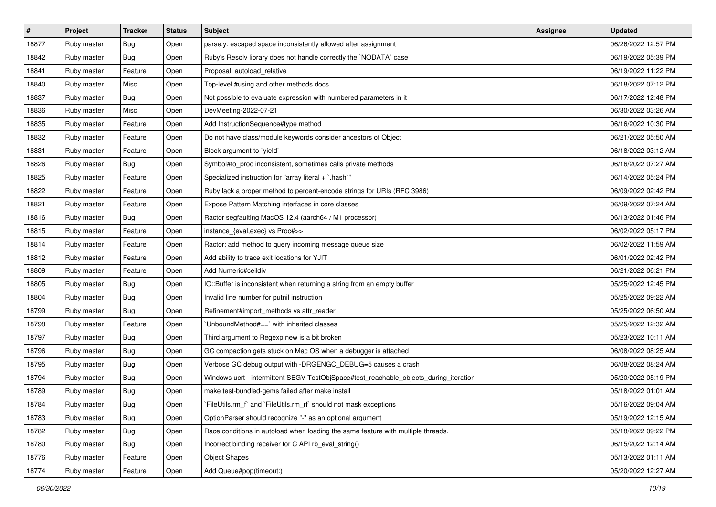| $\vert$ # | Project     | <b>Tracker</b> | <b>Status</b> | <b>Subject</b>                                                                        | <b>Assignee</b> | <b>Updated</b>      |
|-----------|-------------|----------------|---------------|---------------------------------------------------------------------------------------|-----------------|---------------------|
| 18877     | Ruby master | <b>Bug</b>     | Open          | parse.y: escaped space inconsistently allowed after assignment                        |                 | 06/26/2022 12:57 PM |
| 18842     | Ruby master | Bug            | Open          | Ruby's Resolv library does not handle correctly the `NODATA` case                     |                 | 06/19/2022 05:39 PM |
| 18841     | Ruby master | Feature        | Open          | Proposal: autoload_relative                                                           |                 | 06/19/2022 11:22 PM |
| 18840     | Ruby master | Misc           | Open          | Top-level #using and other methods docs                                               |                 | 06/18/2022 07:12 PM |
| 18837     | Ruby master | Bug            | Open          | Not possible to evaluate expression with numbered parameters in it                    |                 | 06/17/2022 12:48 PM |
| 18836     | Ruby master | Misc           | Open          | DevMeeting-2022-07-21                                                                 |                 | 06/30/2022 03:26 AM |
| 18835     | Ruby master | Feature        | Open          | Add InstructionSequence#type method                                                   |                 | 06/16/2022 10:30 PM |
| 18832     | Ruby master | Feature        | Open          | Do not have class/module keywords consider ancestors of Object                        |                 | 06/21/2022 05:50 AM |
| 18831     | Ruby master | Feature        | Open          | Block argument to 'yield'                                                             |                 | 06/18/2022 03:12 AM |
| 18826     | Ruby master | <b>Bug</b>     | Open          | Symbol#to_proc inconsistent, sometimes calls private methods                          |                 | 06/16/2022 07:27 AM |
| 18825     | Ruby master | Feature        | Open          | Specialized instruction for "array literal + `.hash`"                                 |                 | 06/14/2022 05:24 PM |
| 18822     | Ruby master | Feature        | Open          | Ruby lack a proper method to percent-encode strings for URIs (RFC 3986)               |                 | 06/09/2022 02:42 PM |
| 18821     | Ruby master | Feature        | Open          | Expose Pattern Matching interfaces in core classes                                    |                 | 06/09/2022 07:24 AM |
| 18816     | Ruby master | Bug            | Open          | Ractor segfaulting MacOS 12.4 (aarch64 / M1 processor)                                |                 | 06/13/2022 01:46 PM |
| 18815     | Ruby master | Feature        | Open          | instance_{eval,exec} vs Proc#>>                                                       |                 | 06/02/2022 05:17 PM |
| 18814     | Ruby master | Feature        | Open          | Ractor: add method to query incoming message queue size                               |                 | 06/02/2022 11:59 AM |
| 18812     | Ruby master | Feature        | Open          | Add ability to trace exit locations for YJIT                                          |                 | 06/01/2022 02:42 PM |
| 18809     | Ruby master | Feature        | Open          | Add Numeric#ceildiv                                                                   |                 | 06/21/2022 06:21 PM |
| 18805     | Ruby master | <b>Bug</b>     | Open          | IO::Buffer is inconsistent when returning a string from an empty buffer               |                 | 05/25/2022 12:45 PM |
| 18804     | Ruby master | Bug            | Open          | Invalid line number for putnil instruction                                            |                 | 05/25/2022 09:22 AM |
| 18799     | Ruby master | <b>Bug</b>     | Open          | Refinement#import_methods vs attr_reader                                              |                 | 05/25/2022 06:50 AM |
| 18798     | Ruby master | Feature        | Open          | UnboundMethod#==`with inherited classes                                               |                 | 05/25/2022 12:32 AM |
| 18797     | Ruby master | Bug            | Open          | Third argument to Regexp.new is a bit broken                                          |                 | 05/23/2022 10:11 AM |
| 18796     | Ruby master | <b>Bug</b>     | Open          | GC compaction gets stuck on Mac OS when a debugger is attached                        |                 | 06/08/2022 08:25 AM |
| 18795     | Ruby master | Bug            | Open          | Verbose GC debug output with -DRGENGC_DEBUG=5 causes a crash                          |                 | 06/08/2022 08:24 AM |
| 18794     | Ruby master | Bug            | Open          | Windows ucrt - intermittent SEGV TestObjSpace#test_reachable_objects_during_iteration |                 | 05/20/2022 05:19 PM |
| 18789     | Ruby master | Bug            | Open          | make test-bundled-gems failed after make install                                      |                 | 05/18/2022 01:01 AM |
| 18784     | Ruby master | Bug            | Open          | `FileUtils.rm_f` and `FileUtils.rm_rf` should not mask exceptions                     |                 | 05/16/2022 09:04 AM |
| 18783     | Ruby master | Bug            | Open          | OptionParser should recognize "-" as an optional argument                             |                 | 05/19/2022 12:15 AM |
| 18782     | Ruby master | Bug            | Open          | Race conditions in autoload when loading the same feature with multiple threads.      |                 | 05/18/2022 09:22 PM |
| 18780     | Ruby master | Bug            | Open          | Incorrect binding receiver for C API rb_eval_string()                                 |                 | 06/15/2022 12:14 AM |
| 18776     | Ruby master | Feature        | Open          | <b>Object Shapes</b>                                                                  |                 | 05/13/2022 01:11 AM |
| 18774     | Ruby master | Feature        | Open          | Add Queue#pop(timeout:)                                                               |                 | 05/20/2022 12:27 AM |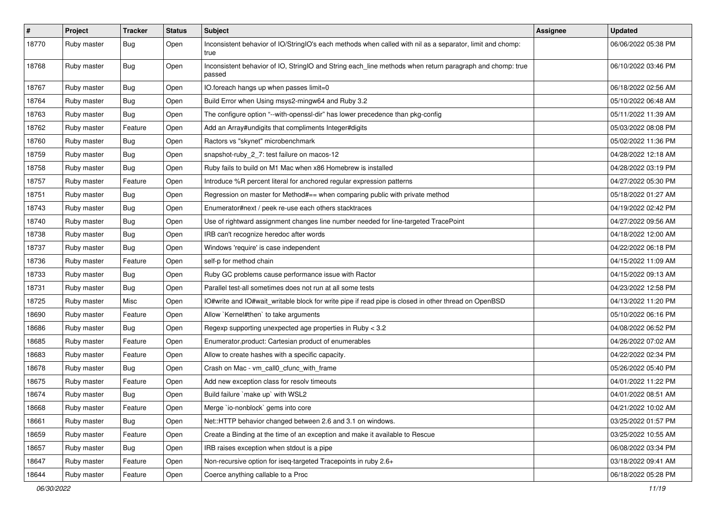| $\sharp$ | Project     | <b>Tracker</b> | <b>Status</b> | Subject                                                                                                            | <b>Assignee</b> | <b>Updated</b>      |
|----------|-------------|----------------|---------------|--------------------------------------------------------------------------------------------------------------------|-----------------|---------------------|
| 18770    | Ruby master | Bug            | Open          | Inconsistent behavior of IO/StringIO's each methods when called with nil as a separator, limit and chomp:<br>true  |                 | 06/06/2022 05:38 PM |
| 18768    | Ruby master | Bug            | Open          | Inconsistent behavior of IO, StringIO and String each_line methods when return paragraph and chomp: true<br>passed |                 | 06/10/2022 03:46 PM |
| 18767    | Ruby master | Bug            | Open          | IO.foreach hangs up when passes limit=0                                                                            |                 | 06/18/2022 02:56 AM |
| 18764    | Ruby master | Bug            | Open          | Build Error when Using msys2-mingw64 and Ruby 3.2                                                                  |                 | 05/10/2022 06:48 AM |
| 18763    | Ruby master | Bug            | Open          | The configure option "--with-openssl-dir" has lower precedence than pkg-config                                     |                 | 05/11/2022 11:39 AM |
| 18762    | Ruby master | Feature        | Open          | Add an Array#undigits that compliments Integer#digits                                                              |                 | 05/03/2022 08:08 PM |
| 18760    | Ruby master | <b>Bug</b>     | Open          | Ractors vs "skynet" microbenchmark                                                                                 |                 | 05/02/2022 11:36 PM |
| 18759    | Ruby master | <b>Bug</b>     | Open          | snapshot-ruby_2_7: test failure on macos-12                                                                        |                 | 04/28/2022 12:18 AM |
| 18758    | Ruby master | Bug            | Open          | Ruby fails to build on M1 Mac when x86 Homebrew is installed                                                       |                 | 04/28/2022 03:19 PM |
| 18757    | Ruby master | Feature        | Open          | Introduce %R percent literal for anchored regular expression patterns                                              |                 | 04/27/2022 05:30 PM |
| 18751    | Ruby master | Bug            | Open          | Regression on master for Method#== when comparing public with private method                                       |                 | 05/18/2022 01:27 AM |
| 18743    | Ruby master | <b>Bug</b>     | Open          | Enumerator#next / peek re-use each others stacktraces                                                              |                 | 04/19/2022 02:42 PM |
| 18740    | Ruby master | <b>Bug</b>     | Open          | Use of rightward assignment changes line number needed for line-targeted TracePoint                                |                 | 04/27/2022 09:56 AM |
| 18738    | Ruby master | Bug            | Open          | IRB can't recognize heredoc after words                                                                            |                 | 04/18/2022 12:00 AM |
| 18737    | Ruby master | <b>Bug</b>     | Open          | Windows 'require' is case independent                                                                              |                 | 04/22/2022 06:18 PM |
| 18736    | Ruby master | Feature        | Open          | self-p for method chain                                                                                            |                 | 04/15/2022 11:09 AM |
| 18733    | Ruby master | <b>Bug</b>     | Open          | Ruby GC problems cause performance issue with Ractor                                                               |                 | 04/15/2022 09:13 AM |
| 18731    | Ruby master | Bug            | Open          | Parallel test-all sometimes does not run at all some tests                                                         |                 | 04/23/2022 12:58 PM |
| 18725    | Ruby master | Misc           | Open          | IO#write and IO#wait_writable block for write pipe if read pipe is closed in other thread on OpenBSD               |                 | 04/13/2022 11:20 PM |
| 18690    | Ruby master | Feature        | Open          | Allow `Kernel#then` to take arguments                                                                              |                 | 05/10/2022 06:16 PM |
| 18686    | Ruby master | <b>Bug</b>     | Open          | Regexp supporting unexpected age properties in Ruby < 3.2                                                          |                 | 04/08/2022 06:52 PM |
| 18685    | Ruby master | Feature        | Open          | Enumerator.product: Cartesian product of enumerables                                                               |                 | 04/26/2022 07:02 AM |
| 18683    | Ruby master | Feature        | Open          | Allow to create hashes with a specific capacity.                                                                   |                 | 04/22/2022 02:34 PM |
| 18678    | Ruby master | Bug            | Open          | Crash on Mac - vm_call0_cfunc_with_frame                                                                           |                 | 05/26/2022 05:40 PM |
| 18675    | Ruby master | Feature        | Open          | Add new exception class for resolv timeouts                                                                        |                 | 04/01/2022 11:22 PM |
| 18674    | Ruby master | <b>Bug</b>     | Open          | Build failure `make up` with WSL2                                                                                  |                 | 04/01/2022 08:51 AM |
| 18668    | Ruby master | Feature        | Open          | Merge `io-nonblock` gems into core                                                                                 |                 | 04/21/2022 10:02 AM |
| 18661    | Ruby master | <b>Bug</b>     | Open          | Net::HTTP behavior changed between 2.6 and 3.1 on windows.                                                         |                 | 03/25/2022 01:57 PM |
| 18659    | Ruby master | Feature        | Open          | Create a Binding at the time of an exception and make it available to Rescue                                       |                 | 03/25/2022 10:55 AM |
| 18657    | Ruby master | Bug            | Open          | IRB raises exception when stdout is a pipe                                                                         |                 | 06/08/2022 03:34 PM |
| 18647    | Ruby master | Feature        | Open          | Non-recursive option for iseq-targeted Tracepoints in ruby 2.6+                                                    |                 | 03/18/2022 09:41 AM |
| 18644    | Ruby master | Feature        | Open          | Coerce anything callable to a Proc                                                                                 |                 | 06/18/2022 05:28 PM |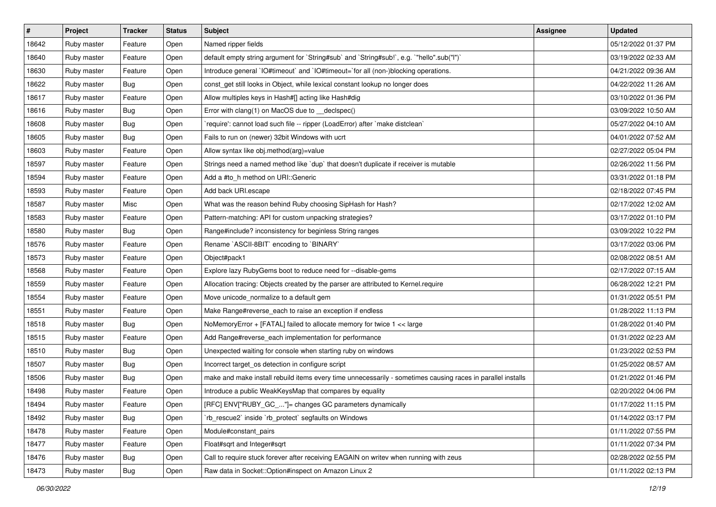| $\vert$ # | Project     | <b>Tracker</b> | <b>Status</b> | Subject                                                                                                     | <b>Assignee</b> | <b>Updated</b>      |
|-----------|-------------|----------------|---------------|-------------------------------------------------------------------------------------------------------------|-----------------|---------------------|
| 18642     | Ruby master | Feature        | Open          | Named ripper fields                                                                                         |                 | 05/12/2022 01:37 PM |
| 18640     | Ruby master | Feature        | Open          | default empty string argument for `String#sub` and `String#sub!`, e.g. `"hello".sub("I")`                   |                 | 03/19/2022 02:33 AM |
| 18630     | Ruby master | Feature        | Open          | Introduce general `IO#timeout` and `IO#timeout=`for all (non-)blocking operations.                          |                 | 04/21/2022 09:36 AM |
| 18622     | Ruby master | Bug            | Open          | const_get still looks in Object, while lexical constant lookup no longer does                               |                 | 04/22/2022 11:26 AM |
| 18617     | Ruby master | Feature        | Open          | Allow multiples keys in Hash#[] acting like Hash#dig                                                        |                 | 03/10/2022 01:36 PM |
| 18616     | Ruby master | <b>Bug</b>     | Open          | Error with clang(1) on MacOS due to _declspec()                                                             |                 | 03/09/2022 10:50 AM |
| 18608     | Ruby master | Bug            | Open          | 'require': cannot load such file -- ripper (LoadError) after 'make distclean'                               |                 | 05/27/2022 04:10 AM |
| 18605     | Ruby master | Bug            | Open          | Fails to run on (newer) 32bit Windows with ucrt                                                             |                 | 04/01/2022 07:52 AM |
| 18603     | Ruby master | Feature        | Open          | Allow syntax like obj.method(arg)=value                                                                     |                 | 02/27/2022 05:04 PM |
| 18597     | Ruby master | Feature        | Open          | Strings need a named method like 'dup' that doesn't duplicate if receiver is mutable                        |                 | 02/26/2022 11:56 PM |
| 18594     | Ruby master | Feature        | Open          | Add a #to h method on URI:: Generic                                                                         |                 | 03/31/2022 01:18 PM |
| 18593     | Ruby master | Feature        | Open          | Add back URI.escape                                                                                         |                 | 02/18/2022 07:45 PM |
| 18587     | Ruby master | Misc           | Open          | What was the reason behind Ruby choosing SipHash for Hash?                                                  |                 | 02/17/2022 12:02 AM |
| 18583     | Ruby master | Feature        | Open          | Pattern-matching: API for custom unpacking strategies?                                                      |                 | 03/17/2022 01:10 PM |
| 18580     | Ruby master | Bug            | Open          | Range#include? inconsistency for beginless String ranges                                                    |                 | 03/09/2022 10:22 PM |
| 18576     | Ruby master | Feature        | Open          | Rename `ASCII-8BIT` encoding to `BINARY`                                                                    |                 | 03/17/2022 03:06 PM |
| 18573     | Ruby master | Feature        | Open          | Object#pack1                                                                                                |                 | 02/08/2022 08:51 AM |
| 18568     | Ruby master | Feature        | Open          | Explore lazy RubyGems boot to reduce need for --disable-gems                                                |                 | 02/17/2022 07:15 AM |
| 18559     | Ruby master | Feature        | Open          | Allocation tracing: Objects created by the parser are attributed to Kernel.require                          |                 | 06/28/2022 12:21 PM |
| 18554     | Ruby master | Feature        | Open          | Move unicode_normalize to a default gem                                                                     |                 | 01/31/2022 05:51 PM |
| 18551     | Ruby master | Feature        | Open          | Make Range#reverse_each to raise an exception if endless                                                    |                 | 01/28/2022 11:13 PM |
| 18518     | Ruby master | Bug            | Open          | NoMemoryError + [FATAL] failed to allocate memory for twice 1 << large                                      |                 | 01/28/2022 01:40 PM |
| 18515     | Ruby master | Feature        | Open          | Add Range#reverse_each implementation for performance                                                       |                 | 01/31/2022 02:23 AM |
| 18510     | Ruby master | <b>Bug</b>     | Open          | Unexpected waiting for console when starting ruby on windows                                                |                 | 01/23/2022 02:53 PM |
| 18507     | Ruby master | Bug            | Open          | Incorrect target_os detection in configure script                                                           |                 | 01/25/2022 08:57 AM |
| 18506     | Ruby master | Bug            | Open          | make and make install rebuild items every time unnecessarily - sometimes causing races in parallel installs |                 | 01/21/2022 01:46 PM |
| 18498     | Ruby master | Feature        | Open          | Introduce a public WeakKeysMap that compares by equality                                                    |                 | 02/20/2022 04:06 PM |
| 18494     | Ruby master | Feature        | Open          | [RFC] ENV["RUBY_GC_"]= changes GC parameters dynamically                                                    |                 | 01/17/2022 11:15 PM |
| 18492     | Ruby master | Bug            | Open          | 'rb rescue2' inside 'rb protect' segfaults on Windows                                                       |                 | 01/14/2022 03:17 PM |
| 18478     | Ruby master | Feature        | Open          | Module#constant pairs                                                                                       |                 | 01/11/2022 07:55 PM |
| 18477     | Ruby master | Feature        | Open          | Float#sqrt and Integer#sqrt                                                                                 |                 | 01/11/2022 07:34 PM |
| 18476     | Ruby master | Bug            | Open          | Call to require stuck forever after receiving EAGAIN on writev when running with zeus                       |                 | 02/28/2022 02:55 PM |
| 18473     | Ruby master | Bug            | Open          | Raw data in Socket:: Option#inspect on Amazon Linux 2                                                       |                 | 01/11/2022 02:13 PM |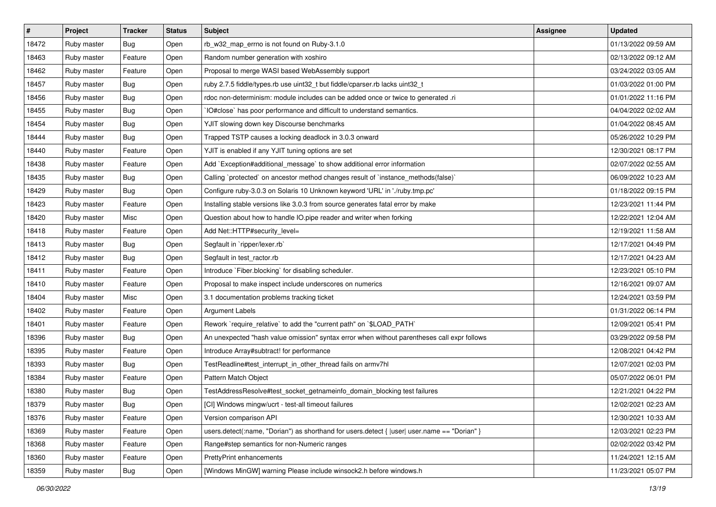| #     | Project     | <b>Tracker</b> | <b>Status</b> | Subject                                                                                      | <b>Assignee</b> | <b>Updated</b>      |
|-------|-------------|----------------|---------------|----------------------------------------------------------------------------------------------|-----------------|---------------------|
| 18472 | Ruby master | Bug            | Open          | rb_w32_map_errno is not found on Ruby-3.1.0                                                  |                 | 01/13/2022 09:59 AM |
| 18463 | Ruby master | Feature        | Open          | Random number generation with xoshiro                                                        |                 | 02/13/2022 09:12 AM |
| 18462 | Ruby master | Feature        | Open          | Proposal to merge WASI based WebAssembly support                                             |                 | 03/24/2022 03:05 AM |
| 18457 | Ruby master | Bug            | Open          | ruby 2.7.5 fiddle/types.rb use uint32_t but fiddle/cparser.rb lacks uint32_t                 |                 | 01/03/2022 01:00 PM |
| 18456 | Ruby master | Bug            | Open          | rdoc non-determinism: module includes can be added once or twice to generated .ri            |                 | 01/01/2022 11:16 PM |
| 18455 | Ruby master | <b>Bug</b>     | Open          | IO#close` has poor performance and difficult to understand semantics.                        |                 | 04/04/2022 02:02 AM |
| 18454 | Ruby master | Bug            | Open          | YJIT slowing down key Discourse benchmarks                                                   |                 | 01/04/2022 08:45 AM |
| 18444 | Ruby master | Bug            | Open          | Trapped TSTP causes a locking deadlock in 3.0.3 onward                                       |                 | 05/26/2022 10:29 PM |
| 18440 | Ruby master | Feature        | Open          | YJIT is enabled if any YJIT tuning options are set                                           |                 | 12/30/2021 08:17 PM |
| 18438 | Ruby master | Feature        | Open          | Add `Exception#additional_message` to show additional error information                      |                 | 02/07/2022 02:55 AM |
| 18435 | Ruby master | <b>Bug</b>     | Open          | Calling `protected` on ancestor method changes result of `instance_methods(false)`           |                 | 06/09/2022 10:23 AM |
| 18429 | Ruby master | Bug            | Open          | Configure ruby-3.0.3 on Solaris 10 Unknown keyword 'URL' in './ruby.tmp.pc'                  |                 | 01/18/2022 09:15 PM |
| 18423 | Ruby master | Feature        | Open          | Installing stable versions like 3.0.3 from source generates fatal error by make              |                 | 12/23/2021 11:44 PM |
| 18420 | Ruby master | Misc           | Open          | Question about how to handle IO.pipe reader and writer when forking                          |                 | 12/22/2021 12:04 AM |
| 18418 | Ruby master | Feature        | Open          | Add Net::HTTP#security_level=                                                                |                 | 12/19/2021 11:58 AM |
| 18413 | Ruby master | Bug            | Open          | Segfault in `ripper/lexer.rb`                                                                |                 | 12/17/2021 04:49 PM |
| 18412 | Ruby master | Bug            | Open          | Segfault in test_ractor.rb                                                                   |                 | 12/17/2021 04:23 AM |
| 18411 | Ruby master | Feature        | Open          | Introduce `Fiber.blocking` for disabling scheduler.                                          |                 | 12/23/2021 05:10 PM |
| 18410 | Ruby master | Feature        | Open          | Proposal to make inspect include underscores on numerics                                     |                 | 12/16/2021 09:07 AM |
| 18404 | Ruby master | Misc           | Open          | 3.1 documentation problems tracking ticket                                                   |                 | 12/24/2021 03:59 PM |
| 18402 | Ruby master | Feature        | Open          | <b>Argument Labels</b>                                                                       |                 | 01/31/2022 06:14 PM |
| 18401 | Ruby master | Feature        | Open          | Rework `require_relative` to add the "current path" on `\$LOAD_PATH`                         |                 | 12/09/2021 05:41 PM |
| 18396 | Ruby master | Bug            | Open          | An unexpected "hash value omission" syntax error when without parentheses call expr follows  |                 | 03/29/2022 09:58 PM |
| 18395 | Ruby master | Feature        | Open          | Introduce Array#subtract! for performance                                                    |                 | 12/08/2021 04:42 PM |
| 18393 | Ruby master | Bug            | Open          | TestReadline#test_interrupt_in_other_thread fails on armv7hl                                 |                 | 12/07/2021 02:03 PM |
| 18384 | Ruby master | Feature        | Open          | Pattern Match Object                                                                         |                 | 05/07/2022 06:01 PM |
| 18380 | Ruby master | Bug            | Open          | TestAddressResolve#test_socket_getnameinfo_domain_blocking test failures                     |                 | 12/21/2021 04:22 PM |
| 18379 | Ruby master | <b>Bug</b>     | Open          | [CI] Windows mingw/ucrt - test-all timeout failures                                          |                 | 12/02/2021 02:23 AM |
| 18376 | Ruby master | Feature        | Open          | Version comparison API                                                                       |                 | 12/30/2021 10:33 AM |
| 18369 | Ruby master | Feature        | Open          | users.detect(:name, "Dorian") as shorthand for users.detect {  user  user.name == "Dorian" } |                 | 12/03/2021 02:23 PM |
| 18368 | Ruby master | Feature        | Open          | Range#step semantics for non-Numeric ranges                                                  |                 | 02/02/2022 03:42 PM |
| 18360 | Ruby master | Feature        | Open          | <b>PrettyPrint enhancements</b>                                                              |                 | 11/24/2021 12:15 AM |
| 18359 | Ruby master | Bug            | Open          | [Windows MinGW] warning Please include winsock2.h before windows.h                           |                 | 11/23/2021 05:07 PM |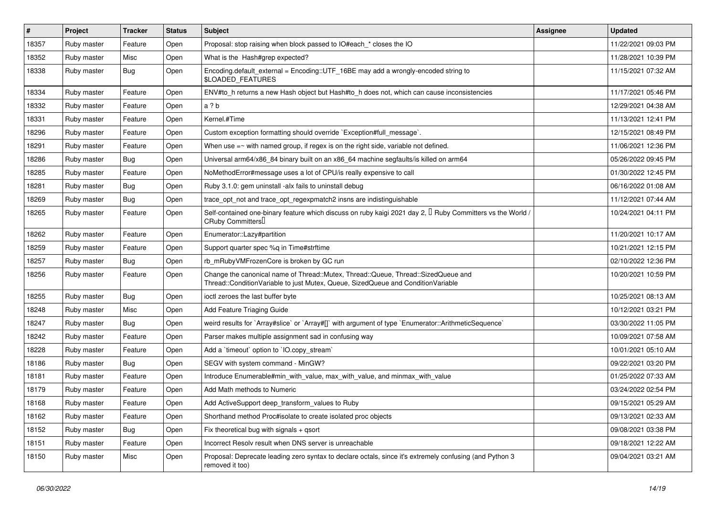| #     | Project     | <b>Tracker</b> | <b>Status</b> | <b>Subject</b>                                                                                                                                                        | <b>Assignee</b> | <b>Updated</b>      |
|-------|-------------|----------------|---------------|-----------------------------------------------------------------------------------------------------------------------------------------------------------------------|-----------------|---------------------|
| 18357 | Ruby master | Feature        | Open          | Proposal: stop raising when block passed to IO#each_* closes the IO                                                                                                   |                 | 11/22/2021 09:03 PM |
| 18352 | Ruby master | Misc           | Open          | What is the Hash#grep expected?                                                                                                                                       |                 | 11/28/2021 10:39 PM |
| 18338 | Ruby master | Bug            | Open          | Encoding.default_external = Encoding::UTF_16BE may add a wrongly-encoded string to<br>\$LOADED_FEATURES                                                               |                 | 11/15/2021 07:32 AM |
| 18334 | Ruby master | Feature        | Open          | ENV#to_h returns a new Hash object but Hash#to_h does not, which can cause inconsistencies                                                                            |                 | 11/17/2021 05:46 PM |
| 18332 | Ruby master | Feature        | Open          | a?b                                                                                                                                                                   |                 | 12/29/2021 04:38 AM |
| 18331 | Ruby master | Feature        | Open          | Kernel.#Time                                                                                                                                                          |                 | 11/13/2021 12:41 PM |
| 18296 | Ruby master | Feature        | Open          | Custom exception formatting should override `Exception#full_message`.                                                                                                 |                 | 12/15/2021 08:49 PM |
| 18291 | Ruby master | Feature        | Open          | When use $=\sim$ with named group, if regex is on the right side, variable not defined.                                                                               |                 | 11/06/2021 12:36 PM |
| 18286 | Ruby master | Bug            | Open          | Universal arm64/x86_84 binary built on an x86_64 machine segfaults/is killed on arm64                                                                                 |                 | 05/26/2022 09:45 PM |
| 18285 | Ruby master | Feature        | Open          | NoMethodError#message uses a lot of CPU/is really expensive to call                                                                                                   |                 | 01/30/2022 12:45 PM |
| 18281 | Ruby master | Bug            | Open          | Ruby 3.1.0: gem uninstall -alx fails to uninstall debug                                                                                                               |                 | 06/16/2022 01:08 AM |
| 18269 | Ruby master | Bug            | Open          | trace_opt_not and trace_opt_regexpmatch2 insns are indistinguishable                                                                                                  |                 | 11/12/2021 07:44 AM |
| 18265 | Ruby master | Feature        | Open          | Self-contained one-binary feature which discuss on ruby kaigi 2021 day 2, $\mathbb I$ Ruby Committers vs the World /<br>CRuby Committers                              |                 | 10/24/2021 04:11 PM |
| 18262 | Ruby master | Feature        | Open          | Enumerator::Lazy#partition                                                                                                                                            |                 | 11/20/2021 10:17 AM |
| 18259 | Ruby master | Feature        | Open          | Support quarter spec %q in Time#strftime                                                                                                                              |                 | 10/21/2021 12:15 PM |
| 18257 | Ruby master | Bug            | Open          | rb_mRubyVMFrozenCore is broken by GC run                                                                                                                              |                 | 02/10/2022 12:36 PM |
| 18256 | Ruby master | Feature        | Open          | Change the canonical name of Thread::Mutex, Thread::Queue, Thread::SizedQueue and<br>Thread::ConditionVariable to just Mutex, Queue, SizedQueue and ConditionVariable |                 | 10/20/2021 10:59 PM |
| 18255 | Ruby master | Bug            | Open          | ioctl zeroes the last buffer byte                                                                                                                                     |                 | 10/25/2021 08:13 AM |
| 18248 | Ruby master | Misc           | Open          | Add Feature Triaging Guide                                                                                                                                            |                 | 10/12/2021 03:21 PM |
| 18247 | Ruby master | <b>Bug</b>     | Open          | weird results for `Array#slice` or `Array#[]` with argument of type `Enumerator::ArithmeticSequence`                                                                  |                 | 03/30/2022 11:05 PM |
| 18242 | Ruby master | Feature        | Open          | Parser makes multiple assignment sad in confusing way                                                                                                                 |                 | 10/09/2021 07:58 AM |
| 18228 | Ruby master | Feature        | Open          | Add a 'timeout' option to 'IO.copy_stream'                                                                                                                            |                 | 10/01/2021 05:10 AM |
| 18186 | Ruby master | <b>Bug</b>     | Open          | SEGV with system command - MinGW?                                                                                                                                     |                 | 09/22/2021 03:20 PM |
| 18181 | Ruby master | Feature        | Open          | Introduce Enumerable#min with value, max with value, and minmax with value                                                                                            |                 | 01/25/2022 07:33 AM |
| 18179 | Ruby master | Feature        | Open          | Add Math methods to Numeric                                                                                                                                           |                 | 03/24/2022 02:54 PM |
| 18168 | Ruby master | Feature        | Open          | Add ActiveSupport deep_transform_values to Ruby                                                                                                                       |                 | 09/15/2021 05:29 AM |
| 18162 | Ruby master | Feature        | Open          | Shorthand method Proc#isolate to create isolated proc objects                                                                                                         |                 | 09/13/2021 02:33 AM |
| 18152 | Ruby master | <b>Bug</b>     | Open          | Fix theoretical bug with signals + qsort                                                                                                                              |                 | 09/08/2021 03:38 PM |
| 18151 | Ruby master | Feature        | Open          | Incorrect Resoly result when DNS server is unreachable                                                                                                                |                 | 09/18/2021 12:22 AM |
| 18150 | Ruby master | Misc           | Open          | Proposal: Deprecate leading zero syntax to declare octals, since it's extremely confusing (and Python 3<br>removed it too)                                            |                 | 09/04/2021 03:21 AM |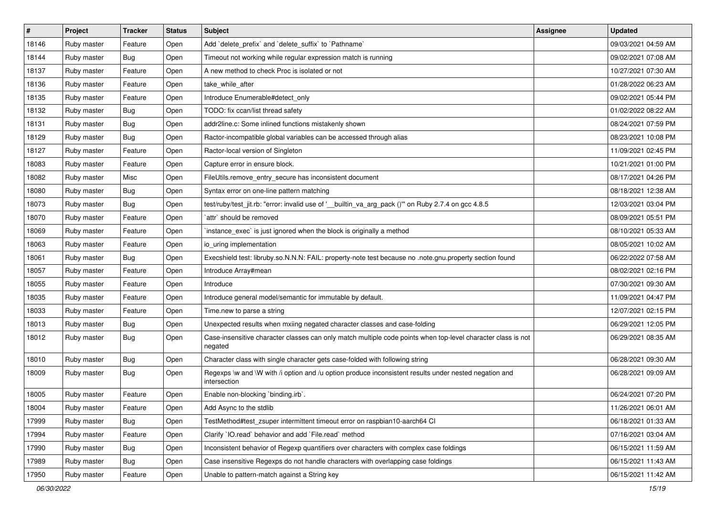| $\#$  | Project     | <b>Tracker</b> | <b>Status</b> | Subject                                                                                                                 | <b>Assignee</b> | <b>Updated</b>      |
|-------|-------------|----------------|---------------|-------------------------------------------------------------------------------------------------------------------------|-----------------|---------------------|
| 18146 | Ruby master | Feature        | Open          | Add `delete_prefix` and `delete_suffix` to `Pathname`                                                                   |                 | 09/03/2021 04:59 AM |
| 18144 | Ruby master | <b>Bug</b>     | Open          | Timeout not working while regular expression match is running                                                           |                 | 09/02/2021 07:08 AM |
| 18137 | Ruby master | Feature        | Open          | A new method to check Proc is isolated or not                                                                           |                 | 10/27/2021 07:30 AM |
| 18136 | Ruby master | Feature        | Open          | take while after                                                                                                        |                 | 01/28/2022 06:23 AM |
| 18135 | Ruby master | Feature        | Open          | Introduce Enumerable#detect_only                                                                                        |                 | 09/02/2021 05:44 PM |
| 18132 | Ruby master | <b>Bug</b>     | Open          | TODO: fix ccan/list thread safety                                                                                       |                 | 01/02/2022 08:22 AM |
| 18131 | Ruby master | <b>Bug</b>     | Open          | addr2line.c: Some inlined functions mistakenly shown                                                                    |                 | 08/24/2021 07:59 PM |
| 18129 | Ruby master | <b>Bug</b>     | Open          | Ractor-incompatible global variables can be accessed through alias                                                      |                 | 08/23/2021 10:08 PM |
| 18127 | Ruby master | Feature        | Open          | Ractor-local version of Singleton                                                                                       |                 | 11/09/2021 02:45 PM |
| 18083 | Ruby master | Feature        | Open          | Capture error in ensure block.                                                                                          |                 | 10/21/2021 01:00 PM |
| 18082 | Ruby master | Misc           | Open          | FileUtils.remove_entry_secure has inconsistent document                                                                 |                 | 08/17/2021 04:26 PM |
| 18080 | Ruby master | Bug            | Open          | Syntax error on one-line pattern matching                                                                               |                 | 08/18/2021 12:38 AM |
| 18073 | Ruby master | Bug            | Open          | test/ruby/test_jit.rb: "error: invalid use of '__builtin_va_arg_pack ()" on Ruby 2.7.4 on gcc 4.8.5                     |                 | 12/03/2021 03:04 PM |
| 18070 | Ruby master | Feature        | Open          | `attr` should be removed                                                                                                |                 | 08/09/2021 05:51 PM |
| 18069 | Ruby master | Feature        | Open          | instance_exec` is just ignored when the block is originally a method                                                    |                 | 08/10/2021 05:33 AM |
| 18063 | Ruby master | Feature        | Open          | io uring implementation                                                                                                 |                 | 08/05/2021 10:02 AM |
| 18061 | Ruby master | Bug            | Open          | Execshield test: libruby.so.N.N.N: FAIL: property-note test because no .note.gnu.property section found                 |                 | 06/22/2022 07:58 AM |
| 18057 | Ruby master | Feature        | Open          | Introduce Array#mean                                                                                                    |                 | 08/02/2021 02:16 PM |
| 18055 | Ruby master | Feature        | Open          | Introduce                                                                                                               |                 | 07/30/2021 09:30 AM |
| 18035 | Ruby master | Feature        | Open          | Introduce general model/semantic for immutable by default.                                                              |                 | 11/09/2021 04:47 PM |
| 18033 | Ruby master | Feature        | Open          | Time.new to parse a string                                                                                              |                 | 12/07/2021 02:15 PM |
| 18013 | Ruby master | Bug            | Open          | Unexpected results when mxiing negated character classes and case-folding                                               |                 | 06/29/2021 12:05 PM |
| 18012 | Ruby master | Bug            | Open          | Case-insensitive character classes can only match multiple code points when top-level character class is not<br>negated |                 | 06/29/2021 08:35 AM |
| 18010 | Ruby master | Bug            | Open          | Character class with single character gets case-folded with following string                                            |                 | 06/28/2021 09:30 AM |
| 18009 | Ruby master | Bug            | Open          | Regexps \w and \W with /i option and /u option produce inconsistent results under nested negation and<br>intersection   |                 | 06/28/2021 09:09 AM |
| 18005 | Ruby master | Feature        | Open          | Enable non-blocking 'binding.irb'.                                                                                      |                 | 06/24/2021 07:20 PM |
| 18004 | Ruby master | Feature        | Open          | Add Async to the stdlib                                                                                                 |                 | 11/26/2021 06:01 AM |
| 17999 | Ruby master | Bug            | Open          | TestMethod#test zsuper intermittent timeout error on raspbian10-aarch64 CI                                              |                 | 06/18/2021 01:33 AM |
| 17994 | Ruby master | Feature        | Open          | Clarify 'IO.read' behavior and add 'File.read' method                                                                   |                 | 07/16/2021 03:04 AM |
| 17990 | Ruby master | Bug            | Open          | Inconsistent behavior of Regexp quantifiers over characters with complex case foldings                                  |                 | 06/15/2021 11:59 AM |
| 17989 | Ruby master | Bug            | Open          | Case insensitive Regexps do not handle characters with overlapping case foldings                                        |                 | 06/15/2021 11:43 AM |
| 17950 | Ruby master | Feature        | Open          | Unable to pattern-match against a String key                                                                            |                 | 06/15/2021 11:42 AM |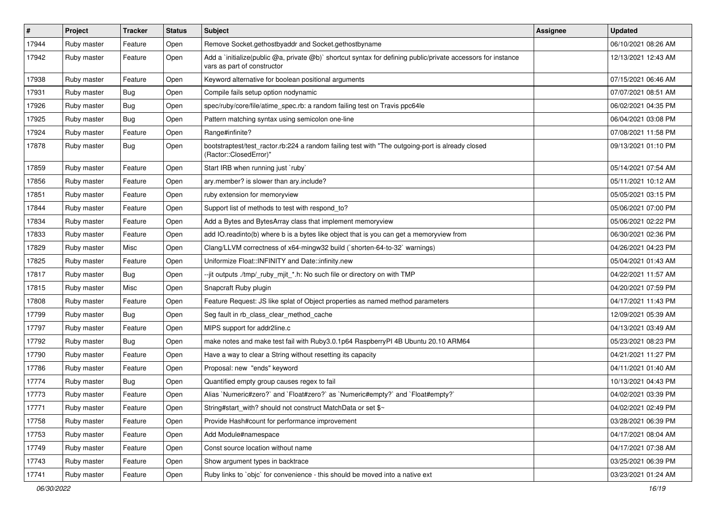| $\sharp$ | Project     | <b>Tracker</b> | <b>Status</b> | <b>Subject</b>                                                                                                                              | <b>Assignee</b> | <b>Updated</b>      |
|----------|-------------|----------------|---------------|---------------------------------------------------------------------------------------------------------------------------------------------|-----------------|---------------------|
| 17944    | Ruby master | Feature        | Open          | Remove Socket.gethostbyaddr and Socket.gethostbyname                                                                                        |                 | 06/10/2021 08:26 AM |
| 17942    | Ruby master | Feature        | Open          | Add a 'initialize(public @a, private @b)' shortcut syntax for defining public/private accessors for instance<br>vars as part of constructor |                 | 12/13/2021 12:43 AM |
| 17938    | Ruby master | Feature        | Open          | Keyword alternative for boolean positional arguments                                                                                        |                 | 07/15/2021 06:46 AM |
| 17931    | Ruby master | <b>Bug</b>     | Open          | Compile fails setup option nodynamic                                                                                                        |                 | 07/07/2021 08:51 AM |
| 17926    | Ruby master | <b>Bug</b>     | Open          | spec/ruby/core/file/atime_spec.rb: a random failing test on Travis ppc64le                                                                  |                 | 06/02/2021 04:35 PM |
| 17925    | Ruby master | Bug            | Open          | Pattern matching syntax using semicolon one-line                                                                                            |                 | 06/04/2021 03:08 PM |
| 17924    | Ruby master | Feature        | Open          | Range#infinite?                                                                                                                             |                 | 07/08/2021 11:58 PM |
| 17878    | Ruby master | Bug            | Open          | bootstraptest/test_ractor.rb:224 a random failing test with "The outgoing-port is already closed<br>(Ractor::ClosedError)"                  |                 | 09/13/2021 01:10 PM |
| 17859    | Ruby master | Feature        | Open          | Start IRB when running just `ruby`                                                                                                          |                 | 05/14/2021 07:54 AM |
| 17856    | Ruby master | Feature        | Open          | ary.member? is slower than ary.include?                                                                                                     |                 | 05/11/2021 10:12 AM |
| 17851    | Ruby master | Feature        | Open          | ruby extension for memoryview                                                                                                               |                 | 05/05/2021 03:15 PM |
| 17844    | Ruby master | Feature        | Open          | Support list of methods to test with respond_to?                                                                                            |                 | 05/06/2021 07:00 PM |
| 17834    | Ruby master | Feature        | Open          | Add a Bytes and BytesArray class that implement memoryview                                                                                  |                 | 05/06/2021 02:22 PM |
| 17833    | Ruby master | Feature        | Open          | add IO.readinto(b) where b is a bytes like object that is you can get a memoryview from                                                     |                 | 06/30/2021 02:36 PM |
| 17829    | Ruby master | Misc           | Open          | Clang/LLVM correctness of x64-mingw32 build (`shorten-64-to-32` warnings)                                                                   |                 | 04/26/2021 04:23 PM |
| 17825    | Ruby master | Feature        | Open          | Uniformize Float::INFINITY and Date::infinity.new                                                                                           |                 | 05/04/2021 01:43 AM |
| 17817    | Ruby master | <b>Bug</b>     | Open          | --jit outputs ./tmp/_ruby_mjit_*.h: No such file or directory on with TMP                                                                   |                 | 04/22/2021 11:57 AM |
| 17815    | Ruby master | Misc           | Open          | Snapcraft Ruby plugin                                                                                                                       |                 | 04/20/2021 07:59 PM |
| 17808    | Ruby master | Feature        | Open          | Feature Request: JS like splat of Object properties as named method parameters                                                              |                 | 04/17/2021 11:43 PM |
| 17799    | Ruby master | <b>Bug</b>     | Open          | Seg fault in rb_class_clear_method_cache                                                                                                    |                 | 12/09/2021 05:39 AM |
| 17797    | Ruby master | Feature        | Open          | MIPS support for addr2line.c                                                                                                                |                 | 04/13/2021 03:49 AM |
| 17792    | Ruby master | <b>Bug</b>     | Open          | make notes and make test fail with Ruby3.0.1p64 RaspberryPI 4B Ubuntu 20.10 ARM64                                                           |                 | 05/23/2021 08:23 PM |
| 17790    | Ruby master | Feature        | Open          | Have a way to clear a String without resetting its capacity                                                                                 |                 | 04/21/2021 11:27 PM |
| 17786    | Ruby master | Feature        | Open          | Proposal: new "ends" keyword                                                                                                                |                 | 04/11/2021 01:40 AM |
| 17774    | Ruby master | <b>Bug</b>     | Open          | Quantified empty group causes regex to fail                                                                                                 |                 | 10/13/2021 04:43 PM |
| 17773    | Ruby master | Feature        | Open          | Alias `Numeric#zero?` and `Float#zero?` as `Numeric#empty?` and `Float#empty?`                                                              |                 | 04/02/2021 03:39 PM |
| 17771    | Ruby master | Feature        | Open          | String#start_with? should not construct MatchData or set \$~                                                                                |                 | 04/02/2021 02:49 PM |
| 17758    | Ruby master | Feature        | Open          | Provide Hash#count for performance improvement                                                                                              |                 | 03/28/2021 06:39 PM |
| 17753    | Ruby master | Feature        | Open          | Add Module#namespace                                                                                                                        |                 | 04/17/2021 08:04 AM |
| 17749    | Ruby master | Feature        | Open          | Const source location without name                                                                                                          |                 | 04/17/2021 07:38 AM |
| 17743    | Ruby master | Feature        | Open          | Show argument types in backtrace                                                                                                            |                 | 03/25/2021 06:39 PM |
| 17741    | Ruby master | Feature        | Open          | Ruby links to `objc` for convenience - this should be moved into a native ext                                                               |                 | 03/23/2021 01:24 AM |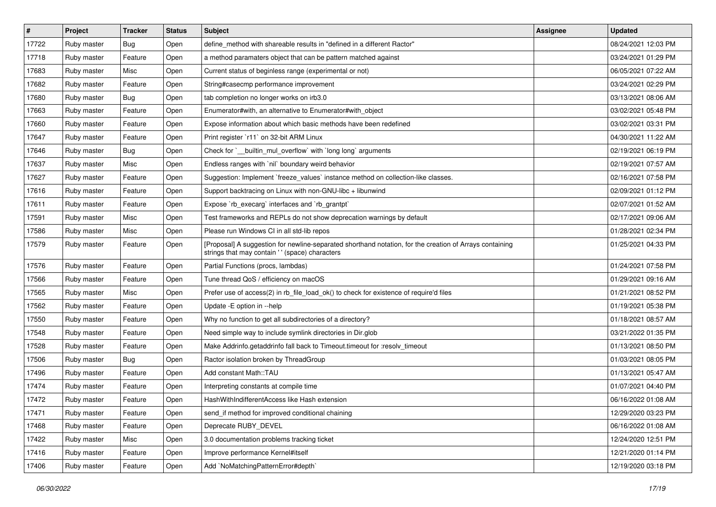| $\vert$ # | Project     | <b>Tracker</b> | <b>Status</b> | Subject                                                                                                                                                    | <b>Assignee</b> | <b>Updated</b>      |
|-----------|-------------|----------------|---------------|------------------------------------------------------------------------------------------------------------------------------------------------------------|-----------------|---------------------|
| 17722     | Ruby master | Bug            | Open          | define method with shareable results in "defined in a different Ractor"                                                                                    |                 | 08/24/2021 12:03 PM |
| 17718     | Ruby master | Feature        | Open          | a method paramaters object that can be pattern matched against                                                                                             |                 | 03/24/2021 01:29 PM |
| 17683     | Ruby master | Misc           | Open          | Current status of beginless range (experimental or not)                                                                                                    |                 | 06/05/2021 07:22 AM |
| 17682     | Ruby master | Feature        | Open          | String#casecmp performance improvement                                                                                                                     |                 | 03/24/2021 02:29 PM |
| 17680     | Ruby master | Bug            | Open          | tab completion no longer works on irb3.0                                                                                                                   |                 | 03/13/2021 08:06 AM |
| 17663     | Ruby master | Feature        | Open          | Enumerator#with, an alternative to Enumerator#with object                                                                                                  |                 | 03/02/2021 05:48 PM |
| 17660     | Ruby master | Feature        | Open          | Expose information about which basic methods have been redefined                                                                                           |                 | 03/02/2021 03:31 PM |
| 17647     | Ruby master | Feature        | Open          | Print register `r11` on 32-bit ARM Linux                                                                                                                   |                 | 04/30/2021 11:22 AM |
| 17646     | Ruby master | Bug            | Open          | Check for `_builtin_mul_overflow` with `long long` arguments                                                                                               |                 | 02/19/2021 06:19 PM |
| 17637     | Ruby master | Misc           | Open          | Endless ranges with `nil` boundary weird behavior                                                                                                          |                 | 02/19/2021 07:57 AM |
| 17627     | Ruby master | Feature        | Open          | Suggestion: Implement `freeze values` instance method on collection-like classes.                                                                          |                 | 02/16/2021 07:58 PM |
| 17616     | Ruby master | Feature        | Open          | Support backtracing on Linux with non-GNU-libc + libunwind                                                                                                 |                 | 02/09/2021 01:12 PM |
| 17611     | Ruby master | Feature        | Open          | Expose `rb_execarg` interfaces and `rb_grantpt`                                                                                                            |                 | 02/07/2021 01:52 AM |
| 17591     | Ruby master | Misc           | Open          | Test frameworks and REPLs do not show deprecation warnings by default                                                                                      |                 | 02/17/2021 09:06 AM |
| 17586     | Ruby master | Misc           | Open          | Please run Windows CI in all std-lib repos                                                                                                                 |                 | 01/28/2021 02:34 PM |
| 17579     | Ruby master | Feature        | Open          | [Proposal] A suggestion for newline-separated shorthand notation, for the creation of Arrays containing<br>strings that may contain ' ' (space) characters |                 | 01/25/2021 04:33 PM |
| 17576     | Ruby master | Feature        | Open          | Partial Functions (procs, lambdas)                                                                                                                         |                 | 01/24/2021 07:58 PM |
| 17566     | Ruby master | Feature        | Open          | Tune thread QoS / efficiency on macOS                                                                                                                      |                 | 01/29/2021 09:16 AM |
| 17565     | Ruby master | Misc           | Open          | Prefer use of access(2) in rb_file_load_ok() to check for existence of require'd files                                                                     |                 | 01/21/2021 08:52 PM |
| 17562     | Ruby master | Feature        | Open          | Update - E option in --help                                                                                                                                |                 | 01/19/2021 05:38 PM |
| 17550     | Ruby master | Feature        | Open          | Why no function to get all subdirectories of a directory?                                                                                                  |                 | 01/18/2021 08:57 AM |
| 17548     | Ruby master | Feature        | Open          | Need simple way to include symlink directories in Dir.glob                                                                                                 |                 | 03/21/2022 01:35 PM |
| 17528     | Ruby master | Feature        | Open          | Make Addrinfo.getaddrinfo fall back to Timeout.timeout for :resolv_timeout                                                                                 |                 | 01/13/2021 08:50 PM |
| 17506     | Ruby master | Bug            | Open          | Ractor isolation broken by ThreadGroup                                                                                                                     |                 | 01/03/2021 08:05 PM |
| 17496     | Ruby master | Feature        | Open          | Add constant Math::TAU                                                                                                                                     |                 | 01/13/2021 05:47 AM |
| 17474     | Ruby master | Feature        | Open          | Interpreting constants at compile time                                                                                                                     |                 | 01/07/2021 04:40 PM |
| 17472     | Ruby master | Feature        | Open          | HashWithIndifferentAccess like Hash extension                                                                                                              |                 | 06/16/2022 01:08 AM |
| 17471     | Ruby master | Feature        | Open          | send_if method for improved conditional chaining                                                                                                           |                 | 12/29/2020 03:23 PM |
| 17468     | Ruby master | Feature        | Open          | Deprecate RUBY_DEVEL                                                                                                                                       |                 | 06/16/2022 01:08 AM |
| 17422     | Ruby master | Misc           | Open          | 3.0 documentation problems tracking ticket                                                                                                                 |                 | 12/24/2020 12:51 PM |
| 17416     | Ruby master | Feature        | Open          | Improve performance Kernel#itself                                                                                                                          |                 | 12/21/2020 01:14 PM |
| 17406     | Ruby master | Feature        | Open          | Add `NoMatchingPatternError#depth`                                                                                                                         |                 | 12/19/2020 03:18 PM |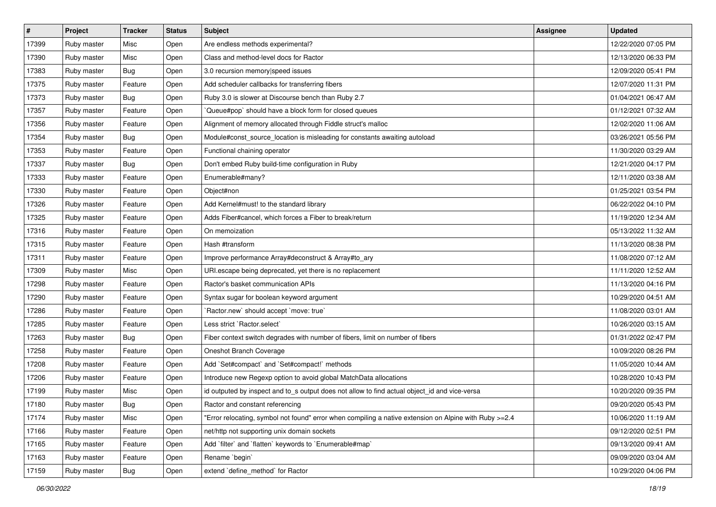| $\vert$ # | Project     | <b>Tracker</b> | <b>Status</b> | Subject                                                                                                | <b>Assignee</b> | <b>Updated</b>      |
|-----------|-------------|----------------|---------------|--------------------------------------------------------------------------------------------------------|-----------------|---------------------|
| 17399     | Ruby master | Misc           | Open          | Are endless methods experimental?                                                                      |                 | 12/22/2020 07:05 PM |
| 17390     | Ruby master | Misc           | Open          | Class and method-level docs for Ractor                                                                 |                 | 12/13/2020 06:33 PM |
| 17383     | Ruby master | Bug            | Open          | 3.0 recursion memory speed issues                                                                      |                 | 12/09/2020 05:41 PM |
| 17375     | Ruby master | Feature        | Open          | Add scheduler callbacks for transferring fibers                                                        |                 | 12/07/2020 11:31 PM |
| 17373     | Ruby master | Bug            | Open          | Ruby 3.0 is slower at Discourse bench than Ruby 2.7                                                    |                 | 01/04/2021 06:47 AM |
| 17357     | Ruby master | Feature        | Open          | Queue#pop` should have a block form for closed queues                                                  |                 | 01/12/2021 07:32 AM |
| 17356     | Ruby master | Feature        | Open          | Alignment of memory allocated through Fiddle struct's malloc                                           |                 | 12/02/2020 11:06 AM |
| 17354     | Ruby master | <b>Bug</b>     | Open          | Module#const_source_location is misleading for constants awaiting autoload                             |                 | 03/26/2021 05:56 PM |
| 17353     | Ruby master | Feature        | Open          | Functional chaining operator                                                                           |                 | 11/30/2020 03:29 AM |
| 17337     | Ruby master | Bug            | Open          | Don't embed Ruby build-time configuration in Ruby                                                      |                 | 12/21/2020 04:17 PM |
| 17333     | Ruby master | Feature        | Open          | Enumerable#many?                                                                                       |                 | 12/11/2020 03:38 AM |
| 17330     | Ruby master | Feature        | Open          | Object#non                                                                                             |                 | 01/25/2021 03:54 PM |
| 17326     | Ruby master | Feature        | Open          | Add Kernel#must! to the standard library                                                               |                 | 06/22/2022 04:10 PM |
| 17325     | Ruby master | Feature        | Open          | Adds Fiber#cancel, which forces a Fiber to break/return                                                |                 | 11/19/2020 12:34 AM |
| 17316     | Ruby master | Feature        | Open          | On memoization                                                                                         |                 | 05/13/2022 11:32 AM |
| 17315     | Ruby master | Feature        | Open          | Hash #transform                                                                                        |                 | 11/13/2020 08:38 PM |
| 17311     | Ruby master | Feature        | Open          | Improve performance Array#deconstruct & Array#to_ary                                                   |                 | 11/08/2020 07:12 AM |
| 17309     | Ruby master | Misc           | Open          | URI.escape being deprecated, yet there is no replacement                                               |                 | 11/11/2020 12:52 AM |
| 17298     | Ruby master | Feature        | Open          | Ractor's basket communication APIs                                                                     |                 | 11/13/2020 04:16 PM |
| 17290     | Ruby master | Feature        | Open          | Syntax sugar for boolean keyword argument                                                              |                 | 10/29/2020 04:51 AM |
| 17286     | Ruby master | Feature        | Open          | 'Ractor.new' should accept 'move: true'                                                                |                 | 11/08/2020 03:01 AM |
| 17285     | Ruby master | Feature        | Open          | Less strict `Ractor.select`                                                                            |                 | 10/26/2020 03:15 AM |
| 17263     | Ruby master | Bug            | Open          | Fiber context switch degrades with number of fibers, limit on number of fibers                         |                 | 01/31/2022 02:47 PM |
| 17258     | Ruby master | Feature        | Open          | Oneshot Branch Coverage                                                                                |                 | 10/09/2020 08:26 PM |
| 17208     | Ruby master | Feature        | Open          | Add `Set#compact` and `Set#compact!` methods                                                           |                 | 11/05/2020 10:44 AM |
| 17206     | Ruby master | Feature        | Open          | Introduce new Regexp option to avoid global MatchData allocations                                      |                 | 10/28/2020 10:43 PM |
| 17199     | Ruby master | Misc           | Open          | id outputed by inspect and to_s output does not allow to find actual object_id and vice-versa          |                 | 10/20/2020 09:35 PM |
| 17180     | Ruby master | Bug            | Open          | Ractor and constant referencing                                                                        |                 | 09/20/2020 05:43 PM |
| 17174     | Ruby master | Misc           | Open          | Error relocating, symbol not found" error when compiling a native extension on Alpine with Ruby >=2.4" |                 | 10/06/2020 11:19 AM |
| 17166     | Ruby master | Feature        | Open          | net/http not supporting unix domain sockets                                                            |                 | 09/12/2020 02:51 PM |
| 17165     | Ruby master | Feature        | Open          | Add `filter` and `flatten` keywords to `Enumerable#map`                                                |                 | 09/13/2020 09:41 AM |
| 17163     | Ruby master | Feature        | Open          | Rename `begin`                                                                                         |                 | 09/09/2020 03:04 AM |
| 17159     | Ruby master | Bug            | Open          | extend 'define_method' for Ractor                                                                      |                 | 10/29/2020 04:06 PM |